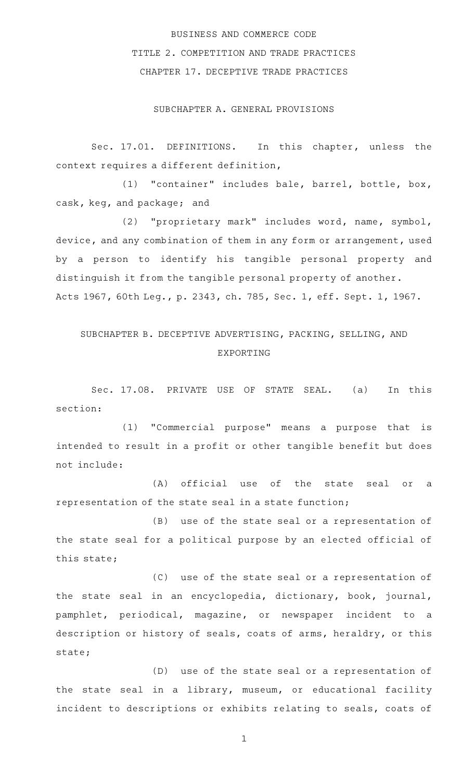# BUSINESS AND COMMERCE CODE TITLE 2. COMPETITION AND TRADE PRACTICES CHAPTER 17. DECEPTIVE TRADE PRACTICES

SUBCHAPTER A. GENERAL PROVISIONS

Sec. 17.01. DEFINITIONS. In this chapter, unless the context requires a different definition,

(1) "container" includes bale, barrel, bottle, box, cask, keg, and package; and

(2) "proprietary mark" includes word, name, symbol, device, and any combination of them in any form or arrangement, used by a person to identify his tangible personal property and distinguish it from the tangible personal property of another. Acts 1967, 60th Leg., p. 2343, ch. 785, Sec. 1, eff. Sept. 1, 1967.

# SUBCHAPTER B. DECEPTIVE ADVERTISING, PACKING, SELLING, AND EXPORTING

Sec. 17.08. PRIVATE USE OF STATE SEAL. (a) In this section:

(1) "Commercial purpose" means a purpose that is intended to result in a profit or other tangible benefit but does not include:

(A) official use of the state seal or a representation of the state seal in a state function;

 $(B)$  use of the state seal or a representation of the state seal for a political purpose by an elected official of this state;

(C) use of the state seal or a representation of the state seal in an encyclopedia, dictionary, book, journal, pamphlet, periodical, magazine, or newspaper incident to a description or history of seals, coats of arms, heraldry, or this state;

(D) use of the state seal or a representation of the state seal in a library, museum, or educational facility incident to descriptions or exhibits relating to seals, coats of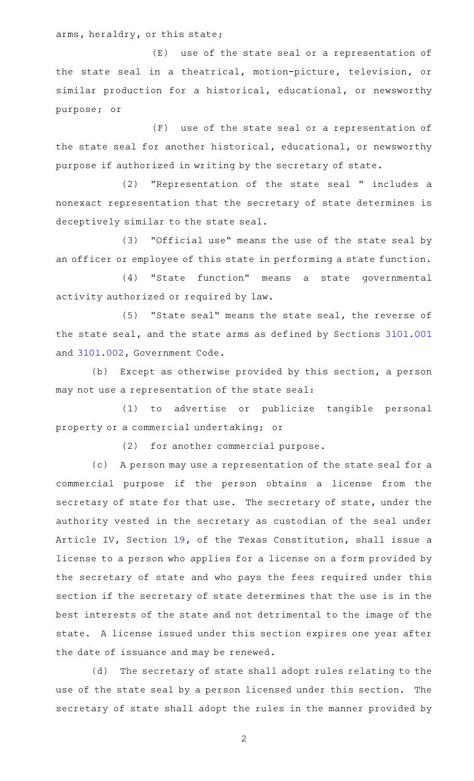arms, heraldry, or this state;

(E) use of the state seal or a representation of the state seal in a theatrical, motion-picture, television, or similar production for a historical, educational, or newsworthy purpose; or

 $(F)$  use of the state seal or a representation of the state seal for another historical, educational, or newsworthy purpose if authorized in writing by the secretary of state.

(2) "Representation of the state seal " includes a nonexact representation that the secretary of state determines is deceptively similar to the state seal.

(3) "Official use" means the use of the state seal by an officer or employee of this state in performing a state function.

(4) "State function" means a state governmental activity authorized or required by law.

(5) "State seal" means the state seal, the reverse of the state seal, and the state arms as defined by Sections [3101.001](http://www.statutes.legis.state.tx.us/GetStatute.aspx?Code=GV&Value=3101.001) and [3101.002](http://www.statutes.legis.state.tx.us/GetStatute.aspx?Code=GV&Value=3101.002), Government Code.

(b) Except as otherwise provided by this section, a person may not use a representation of the state seal:

(1) to advertise or publicize tangible personal property or a commercial undertaking; or

(2) for another commercial purpose.

(c) A person may use a representation of the state seal for a commercial purpose if the person obtains a license from the secretary of state for that use. The secretary of state, under the authority vested in the secretary as custodian of the seal under Article IV, Section [19,](http://www.statutes.legis.state.tx.us/GetStatute.aspx?Code=CN&Value=4.19) of the Texas Constitution, shall issue a license to a person who applies for a license on a form provided by the secretary of state and who pays the fees required under this section if the secretary of state determines that the use is in the best interests of the state and not detrimental to the image of the state. A license issued under this section expires one year after the date of issuance and may be renewed.

(d) The secretary of state shall adopt rules relating to the use of the state seal by a person licensed under this section. The secretary of state shall adopt the rules in the manner provided by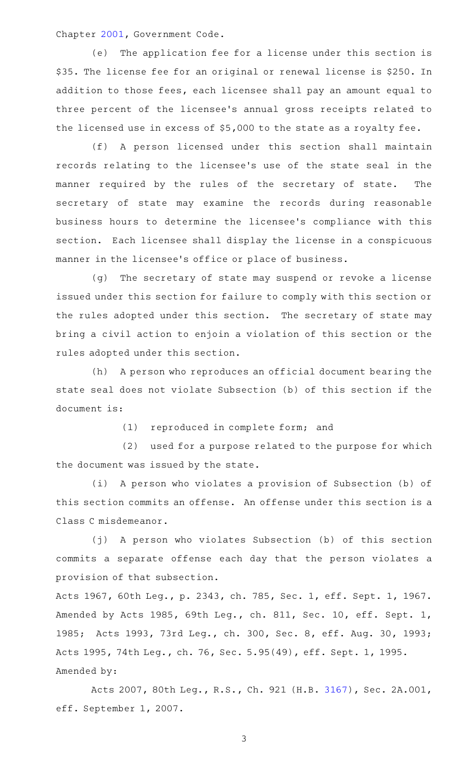Chapter [2001](http://www.statutes.legis.state.tx.us/GetStatute.aspx?Code=GV&Value=2001), Government Code.

(e) The application fee for a license under this section is \$35. The license fee for an original or renewal license is \$250. In addition to those fees, each licensee shall pay an amount equal to three percent of the licensee 's annual gross receipts related to the licensed use in excess of \$5,000 to the state as a royalty fee.

(f) A person licensed under this section shall maintain records relating to the licensee 's use of the state seal in the manner required by the rules of the secretary of state. The secretary of state may examine the records during reasonable business hours to determine the licensee 's compliance with this section. Each licensee shall display the license in a conspicuous manner in the licensee 's office or place of business.

(g) The secretary of state may suspend or revoke a license issued under this section for failure to comply with this section or the rules adopted under this section. The secretary of state may bring a civil action to enjoin a violation of this section or the rules adopted under this section.

(h) A person who reproduces an official document bearing the state seal does not violate Subsection (b) of this section if the document is:

(1) reproduced in complete form; and

(2) used for a purpose related to the purpose for which the document was issued by the state.

(i) A person who violates a provision of Subsection (b) of this section commits an offense. An offense under this section is a Class C misdemeanor.

(j) A person who violates Subsection (b) of this section commits a separate offense each day that the person violates a provision of that subsection.

Acts 1967, 60th Leg., p. 2343, ch. 785, Sec. 1, eff. Sept. 1, 1967. Amended by Acts 1985, 69th Leg., ch. 811, Sec. 10, eff. Sept. 1, 1985; Acts 1993, 73rd Leg., ch. 300, Sec. 8, eff. Aug. 30, 1993; Acts 1995, 74th Leg., ch. 76, Sec. 5.95(49), eff. Sept. 1, 1995. Amended by:

Acts 2007, 80th Leg., R.S., Ch. 921 (H.B. [3167\)](http://www.legis.state.tx.us/tlodocs/80R/billtext/html/HB03167F.HTM), Sec. 2A.001, eff. September 1, 2007.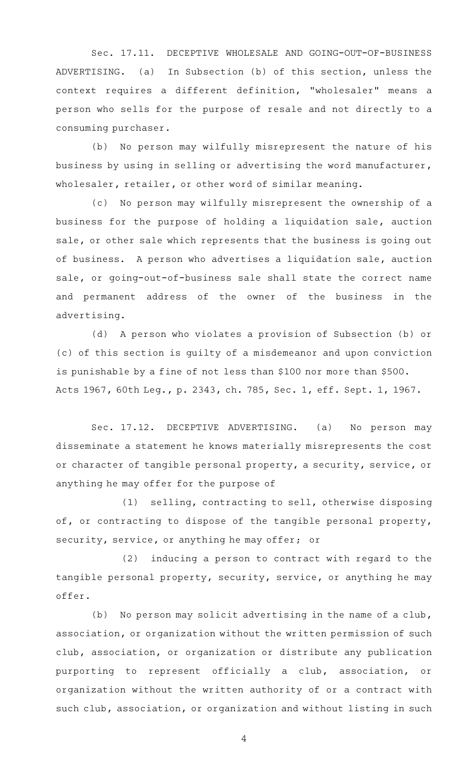Sec. 17.11. DECEPTIVE WHOLESALE AND GOING-OUT-OF-BUSINESS ADVERTISING. (a) In Subsection (b) of this section, unless the context requires a different definition, "wholesaler" means a person who sells for the purpose of resale and not directly to a consuming purchaser.

(b) No person may wilfully misrepresent the nature of his business by using in selling or advertising the word manufacturer, wholesaler, retailer, or other word of similar meaning.

(c) No person may wilfully misrepresent the ownership of a business for the purpose of holding a liquidation sale, auction sale, or other sale which represents that the business is going out of business. A person who advertises a liquidation sale, auction sale, or going-out-of-business sale shall state the correct name and permanent address of the owner of the business in the advertising.

(d) A person who violates a provision of Subsection (b) or (c) of this section is guilty of a misdemeanor and upon conviction is punishable by a fine of not less than \$100 nor more than \$500. Acts 1967, 60th Leg., p. 2343, ch. 785, Sec. 1, eff. Sept. 1, 1967.

Sec. 17.12. DECEPTIVE ADVERTISING. (a) No person may disseminate a statement he knows materially misrepresents the cost or character of tangible personal property, a security, service, or anything he may offer for the purpose of

 $(1)$  selling, contracting to sell, otherwise disposing of, or contracting to dispose of the tangible personal property, security, service, or anything he may offer; or

 $(2)$  inducing a person to contract with regard to the tangible personal property, security, service, or anything he may offer.

(b) No person may solicit advertising in the name of a club, association, or organization without the written permission of such club, association, or organization or distribute any publication purporting to represent officially a club, association, or organization without the written authority of or a contract with such club, association, or organization and without listing in such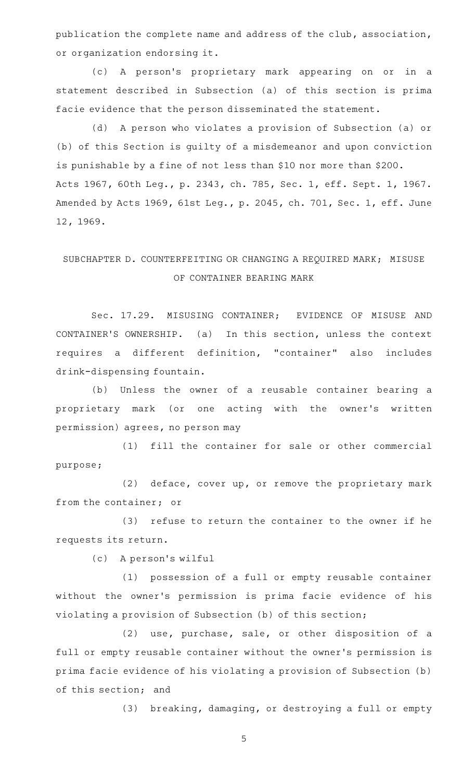publication the complete name and address of the club, association, or organization endorsing it.

(c)AAA person 's proprietary mark appearing on or in a statement described in Subsection (a) of this section is prima facie evidence that the person disseminated the statement.

(d) A person who violates a provision of Subsection (a) or (b) of this Section is guilty of a misdemeanor and upon conviction is punishable by a fine of not less than \$10 nor more than \$200. Acts 1967, 60th Leg., p. 2343, ch. 785, Sec. 1, eff. Sept. 1, 1967. Amended by Acts 1969, 61st Leg., p. 2045, ch. 701, Sec. 1, eff. June 12, 1969.

## SUBCHAPTER D. COUNTERFEITING OR CHANGING A REQUIRED MARK; MISUSE OF CONTAINER BEARING MARK

Sec. 17.29. MISUSING CONTAINER; EVIDENCE OF MISUSE AND CONTAINER'S OWNERSHIP. (a) In this section, unless the context requires a different definition, "container" also includes drink-dispensing fountain.

(b) Unless the owner of a reusable container bearing a proprietary mark (or one acting with the owner 's written permission) agrees, no person may

(1) fill the container for sale or other commercial purpose;

 $(2)$  deface, cover up, or remove the proprietary mark from the container; or

(3) refuse to return the container to the owner if he requests its return.

(c) A person's wilful

(1) possession of a full or empty reusable container without the owner 's permission is prima facie evidence of his violating a provision of Subsection (b) of this section;

(2) use, purchase, sale, or other disposition of a full or empty reusable container without the owner 's permission is prima facie evidence of his violating a provision of Subsection (b) of this section; and

(3) breaking, damaging, or destroying a full or empty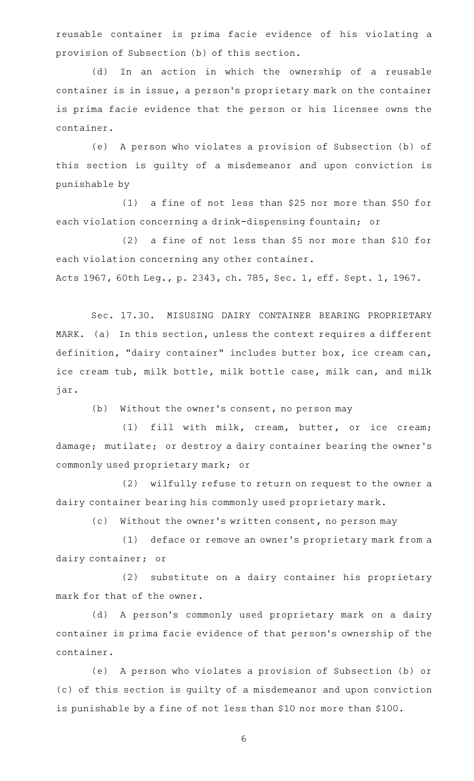reusable container is prima facie evidence of his violating a provision of Subsection (b) of this section.

(d) In an action in which the ownership of a reusable container is in issue, a person 's proprietary mark on the container is prima facie evidence that the person or his licensee owns the container.

(e) A person who violates a provision of Subsection (b) of this section is guilty of a misdemeanor and upon conviction is punishable by

(1) a fine of not less than \$25 nor more than \$50 for each violation concerning a drink-dispensing fountain; or

(2) a fine of not less than \$5 nor more than \$10 for each violation concerning any other container. Acts 1967, 60th Leg., p. 2343, ch. 785, Sec. 1, eff. Sept. 1, 1967.

Sec. 17.30. MISUSING DAIRY CONTAINER BEARING PROPRIETARY MARK. (a) In this section, unless the context requires a different definition, "dairy container" includes butter box, ice cream can, ice cream tub, milk bottle, milk bottle case, milk can, and milk jar.

(b) Without the owner's consent, no person may

(1) fill with milk, cream, butter, or ice cream; damage; mutilate; or destroy a dairy container bearing the owner 's commonly used proprietary mark; or

(2) wilfully refuse to return on request to the owner a dairy container bearing his commonly used proprietary mark.

(c) Without the owner's written consent, no person may

(1) deface or remove an owner's proprietary mark from a dairy container; or

(2) substitute on a dairy container his proprietary mark for that of the owner.

(d) A person's commonly used proprietary mark on a dairy container is prima facie evidence of that person 's ownership of the container.

(e) A person who violates a provision of Subsection (b) or (c) of this section is guilty of a misdemeanor and upon conviction is punishable by a fine of not less than \$10 nor more than \$100.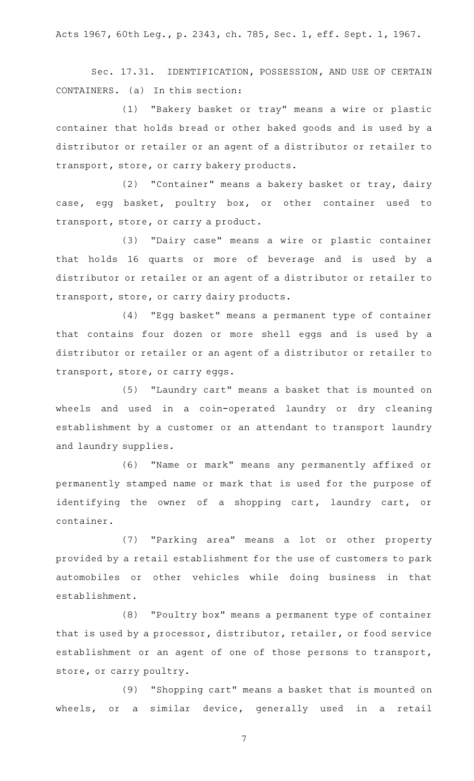Acts 1967, 60th Leg., p. 2343, ch. 785, Sec. 1, eff. Sept. 1, 1967.

Sec. 17.31. IDENTIFICATION, POSSESSION, AND USE OF CERTAIN CONTAINERS. (a) In this section:

(1) "Bakery basket or tray" means a wire or plastic container that holds bread or other baked goods and is used by a distributor or retailer or an agent of a distributor or retailer to transport, store, or carry bakery products.

(2) "Container" means a bakery basket or tray, dairy case, egg basket, poultry box, or other container used to transport, store, or carry a product.

(3) "Dairy case" means a wire or plastic container that holds 16 quarts or more of beverage and is used by a distributor or retailer or an agent of a distributor or retailer to transport, store, or carry dairy products.

(4) "Egg basket" means a permanent type of container that contains four dozen or more shell eggs and is used by a distributor or retailer or an agent of a distributor or retailer to transport, store, or carry eggs.

(5) "Laundry cart" means a basket that is mounted on wheels and used in a coin-operated laundry or dry cleaning establishment by a customer or an attendant to transport laundry and laundry supplies.

(6) "Name or mark" means any permanently affixed or permanently stamped name or mark that is used for the purpose of identifying the owner of a shopping cart, laundry cart, or container.

(7) "Parking area" means a lot or other property provided by a retail establishment for the use of customers to park automobiles or other vehicles while doing business in that establishment.

(8) "Poultry box" means a permanent type of container that is used by a processor, distributor, retailer, or food service establishment or an agent of one of those persons to transport, store, or carry poultry.

(9) "Shopping cart" means a basket that is mounted on wheels, or a similar device, generally used in a retail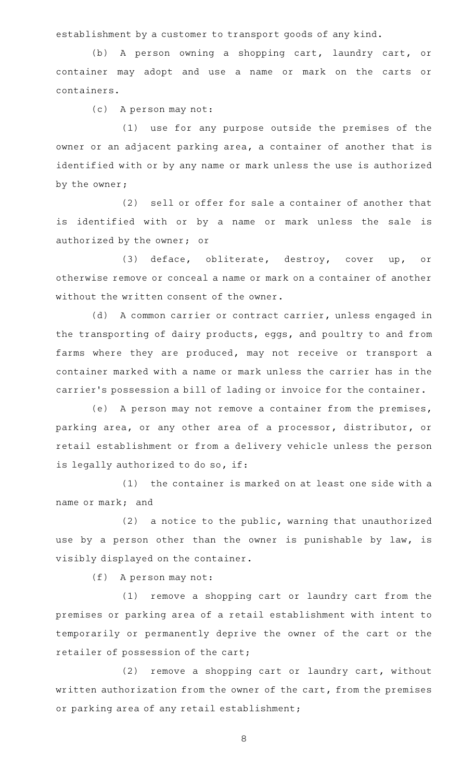establishment by a customer to transport goods of any kind.

(b) A person owning a shopping cart, laundry cart, or container may adopt and use a name or mark on the carts or containers.

(c) A person may not:

(1) use for any purpose outside the premises of the owner or an adjacent parking area, a container of another that is identified with or by any name or mark unless the use is authorized by the owner;

(2) sell or offer for sale a container of another that is identified with or by a name or mark unless the sale is authorized by the owner; or

(3) deface, obliterate, destroy, cover up, or otherwise remove or conceal a name or mark on a container of another without the written consent of the owner.

(d) A common carrier or contract carrier, unless engaged in the transporting of dairy products, eggs, and poultry to and from farms where they are produced, may not receive or transport a container marked with a name or mark unless the carrier has in the carrier 's possession a bill of lading or invoice for the container.

(e) A person may not remove a container from the premises, parking area, or any other area of a processor, distributor, or retail establishment or from a delivery vehicle unless the person is legally authorized to do so, if:

 $(1)$  the container is marked on at least one side with a name or mark; and

 $(2)$  a notice to the public, warning that unauthorized use by a person other than the owner is punishable by law, is visibly displayed on the container.

 $(f)$  A person may not:

(1) remove a shopping cart or laundry cart from the premises or parking area of a retail establishment with intent to temporarily or permanently deprive the owner of the cart or the retailer of possession of the cart;

 $(2)$  remove a shopping cart or laundry cart, without written authorization from the owner of the cart, from the premises or parking area of any retail establishment;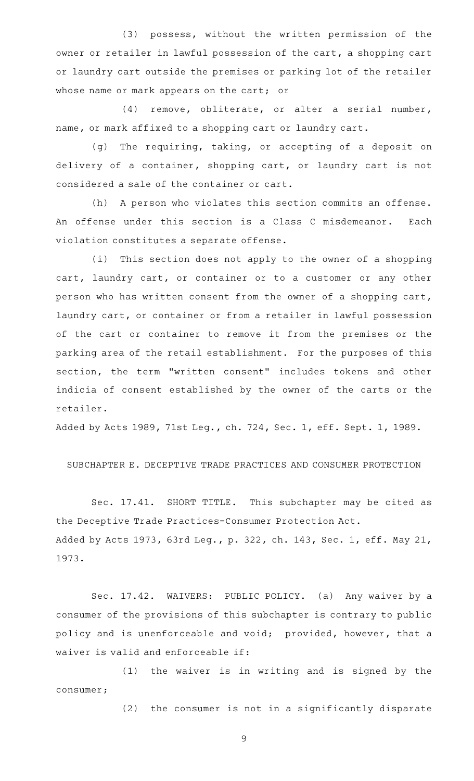(3) possess, without the written permission of the owner or retailer in lawful possession of the cart, a shopping cart or laundry cart outside the premises or parking lot of the retailer whose name or mark appears on the cart; or

(4) remove, obliterate, or alter a serial number, name, or mark affixed to a shopping cart or laundry cart.

(g) The requiring, taking, or accepting of a deposit on delivery of a container, shopping cart, or laundry cart is not considered a sale of the container or cart.

(h) A person who violates this section commits an offense. An offense under this section is a Class C misdemeanor. Each violation constitutes a separate offense.

(i) This section does not apply to the owner of a shopping cart, laundry cart, or container or to a customer or any other person who has written consent from the owner of a shopping cart, laundry cart, or container or from a retailer in lawful possession of the cart or container to remove it from the premises or the parking area of the retail establishment. For the purposes of this section, the term "written consent" includes tokens and other indicia of consent established by the owner of the carts or the retailer.

Added by Acts 1989, 71st Leg., ch. 724, Sec. 1, eff. Sept. 1, 1989.

SUBCHAPTER E. DECEPTIVE TRADE PRACTICES AND CONSUMER PROTECTION

Sec. 17.41. SHORT TITLE. This subchapter may be cited as the Deceptive Trade Practices-Consumer Protection Act. Added by Acts 1973, 63rd Leg., p. 322, ch. 143, Sec. 1, eff. May 21, 1973.

Sec. 17.42. WAIVERS: PUBLIC POLICY. (a) Any waiver by a consumer of the provisions of this subchapter is contrary to public policy and is unenforceable and void; provided, however, that a waiver is valid and enforceable if:

(1) the waiver is in writing and is signed by the consumer;

(2) the consumer is not in a significantly disparate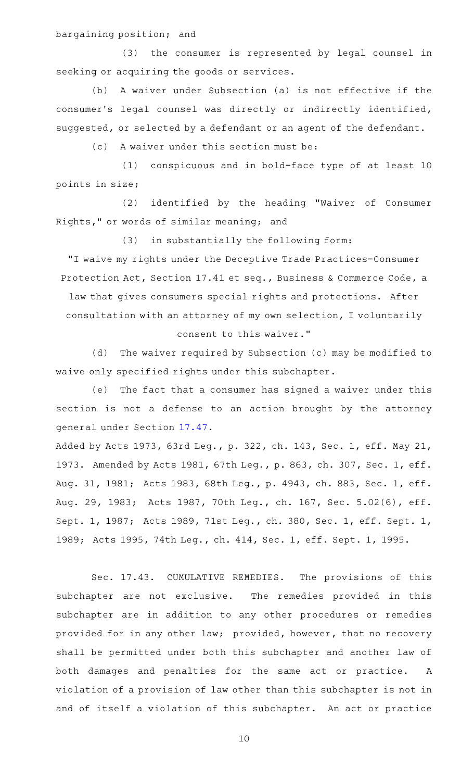bargaining position; and

(3) the consumer is represented by legal counsel in seeking or acquiring the goods or services.

(b) A waiver under Subsection (a) is not effective if the consumer 's legal counsel was directly or indirectly identified, suggested, or selected by a defendant or an agent of the defendant.

 $(c)$  A waiver under this section must be:

(1) conspicuous and in bold-face type of at least 10 points in size;

(2) identified by the heading "Waiver of Consumer Rights," or words of similar meaning; and

(3) in substantially the following form:

"I waive my rights under the Deceptive Trade Practices-Consumer Protection Act, Section 17.41 et seq., Business & Commerce Code, a law that gives consumers special rights and protections. After consultation with an attorney of my own selection, I voluntarily consent to this waiver."

(d) The waiver required by Subsection (c) may be modified to waive only specified rights under this subchapter.

(e) The fact that a consumer has signed a waiver under this section is not a defense to an action brought by the attorney general under Section [17.47](http://www.statutes.legis.state.tx.us/GetStatute.aspx?Code=BC&Value=17.47).

Added by Acts 1973, 63rd Leg., p. 322, ch. 143, Sec. 1, eff. May 21, 1973. Amended by Acts 1981, 67th Leg., p. 863, ch. 307, Sec. 1, eff. Aug. 31, 1981; Acts 1983, 68th Leg., p. 4943, ch. 883, Sec. 1, eff. Aug. 29, 1983; Acts 1987, 70th Leg., ch. 167, Sec. 5.02(6), eff. Sept. 1, 1987; Acts 1989, 71st Leg., ch. 380, Sec. 1, eff. Sept. 1, 1989; Acts 1995, 74th Leg., ch. 414, Sec. 1, eff. Sept. 1, 1995.

Sec. 17.43. CUMULATIVE REMEDIES. The provisions of this subchapter are not exclusive. The remedies provided in this subchapter are in addition to any other procedures or remedies provided for in any other law; provided, however, that no recovery shall be permitted under both this subchapter and another law of both damages and penalties for the same act or practice. A violation of a provision of law other than this subchapter is not in and of itself a violation of this subchapter. An act or practice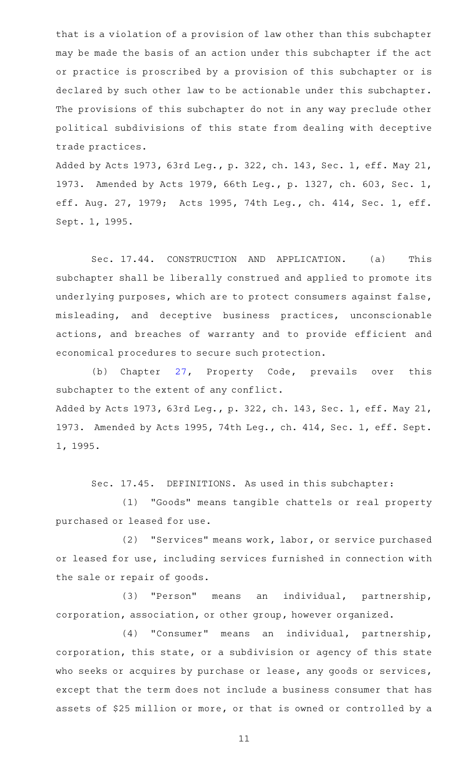that is a violation of a provision of law other than this subchapter may be made the basis of an action under this subchapter if the act or practice is proscribed by a provision of this subchapter or is declared by such other law to be actionable under this subchapter. The provisions of this subchapter do not in any way preclude other political subdivisions of this state from dealing with deceptive trade practices.

Added by Acts 1973, 63rd Leg., p. 322, ch. 143, Sec. 1, eff. May 21, 1973. Amended by Acts 1979, 66th Leg., p. 1327, ch. 603, Sec. 1, eff. Aug. 27, 1979; Acts 1995, 74th Leg., ch. 414, Sec. 1, eff. Sept. 1, 1995.

Sec. 17.44. CONSTRUCTION AND APPLICATION. (a) This subchapter shall be liberally construed and applied to promote its underlying purposes, which are to protect consumers against false, misleading, and deceptive business practices, unconscionable actions, and breaches of warranty and to provide efficient and economical procedures to secure such protection.

(b) Chapter [27](http://www.statutes.legis.state.tx.us/GetStatute.aspx?Code=PR&Value=27), Property Code, prevails over this subchapter to the extent of any conflict. Added by Acts 1973, 63rd Leg., p. 322, ch. 143, Sec. 1, eff. May 21, 1973. Amended by Acts 1995, 74th Leg., ch. 414, Sec. 1, eff. Sept. 1, 1995.

Sec. 17.45. DEFINITIONS. As used in this subchapter:

(1) "Goods" means tangible chattels or real property purchased or leased for use.

(2) "Services" means work, labor, or service purchased or leased for use, including services furnished in connection with the sale or repair of goods.

(3) "Person" means an individual, partnership, corporation, association, or other group, however organized.

(4) "Consumer" means an individual, partnership, corporation, this state, or a subdivision or agency of this state who seeks or acquires by purchase or lease, any goods or services, except that the term does not include a business consumer that has assets of \$25 million or more, or that is owned or controlled by a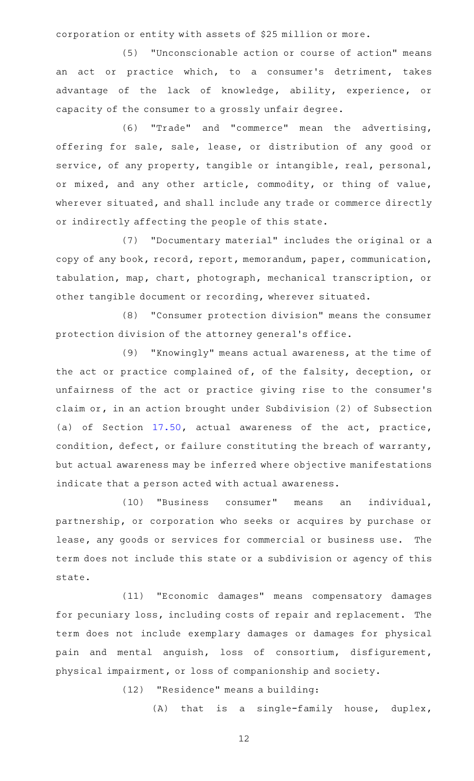corporation or entity with assets of \$25 million or more.

(5) "Unconscionable action or course of action" means an act or practice which, to a consumer's detriment, takes advantage of the lack of knowledge, ability, experience, or capacity of the consumer to a grossly unfair degree.

(6) "Trade" and "commerce" mean the advertising, offering for sale, sale, lease, or distribution of any good or service, of any property, tangible or intangible, real, personal, or mixed, and any other article, commodity, or thing of value, wherever situated, and shall include any trade or commerce directly or indirectly affecting the people of this state.

(7) "Documentary material" includes the original or a copy of any book, record, report, memorandum, paper, communication, tabulation, map, chart, photograph, mechanical transcription, or other tangible document or recording, wherever situated.

(8) "Consumer protection division" means the consumer protection division of the attorney general 's office.

(9) "Knowingly" means actual awareness, at the time of the act or practice complained of, of the falsity, deception, or unfairness of the act or practice giving rise to the consumer 's claim or, in an action brought under Subdivision (2) of Subsection (a) of Section [17.50](http://www.statutes.legis.state.tx.us/GetStatute.aspx?Code=BC&Value=17.50), actual awareness of the act, practice, condition, defect, or failure constituting the breach of warranty, but actual awareness may be inferred where objective manifestations indicate that a person acted with actual awareness.

(10) "Business consumer" means an individual, partnership, or corporation who seeks or acquires by purchase or lease, any goods or services for commercial or business use. The term does not include this state or a subdivision or agency of this state.

(11) "Economic damages" means compensatory damages for pecuniary loss, including costs of repair and replacement. The term does not include exemplary damages or damages for physical pain and mental anguish, loss of consortium, disfigurement, physical impairment, or loss of companionship and society.

(12) "Residence" means a building:

(A) that is a single-family house, duplex,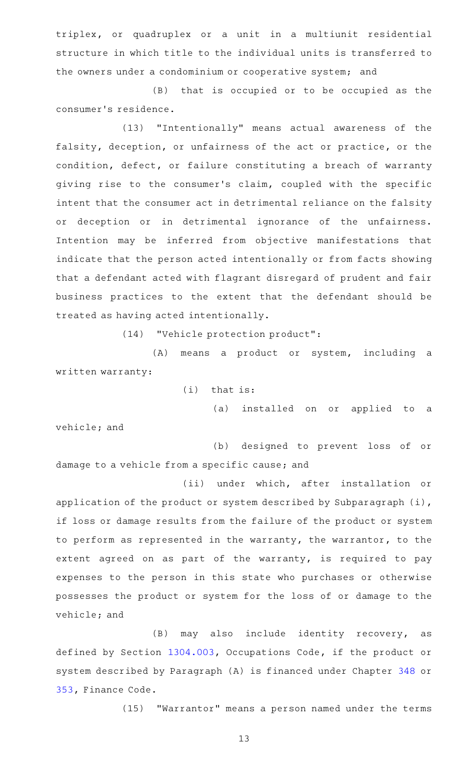triplex, or quadruplex or a unit in a multiunit residential structure in which title to the individual units is transferred to the owners under a condominium or cooperative system; and

(B) that is occupied or to be occupied as the consumer 's residence.

(13) "Intentionally" means actual awareness of the falsity, deception, or unfairness of the act or practice, or the condition, defect, or failure constituting a breach of warranty giving rise to the consumer 's claim, coupled with the specific intent that the consumer act in detrimental reliance on the falsity or deception or in detrimental ignorance of the unfairness. Intention may be inferred from objective manifestations that indicate that the person acted intentionally or from facts showing that a defendant acted with flagrant disregard of prudent and fair business practices to the extent that the defendant should be treated as having acted intentionally.

(14) "Vehicle protection product":

(A) means a product or system, including a written warranty:

 $(i)$  that is:

(a) installed on or applied to a

vehicle; and

(b) designed to prevent loss of or damage to a vehicle from a specific cause; and

(ii) under which, after installation or application of the product or system described by Subparagraph (i), if loss or damage results from the failure of the product or system to perform as represented in the warranty, the warrantor, to the extent agreed on as part of the warranty, is required to pay expenses to the person in this state who purchases or otherwise possesses the product or system for the loss of or damage to the vehicle; and

(B) may also include identity recovery, as defined by Section [1304.003,](http://www.statutes.legis.state.tx.us/GetStatute.aspx?Code=OC&Value=1304.003) Occupations Code, if the product or system described by Paragraph (A) is financed under Chapter [348](http://www.statutes.legis.state.tx.us/GetStatute.aspx?Code=FI&Value=348) or [353,](http://www.statutes.legis.state.tx.us/GetStatute.aspx?Code=FI&Value=353) Finance Code.

(15) "Warrantor" means a person named under the terms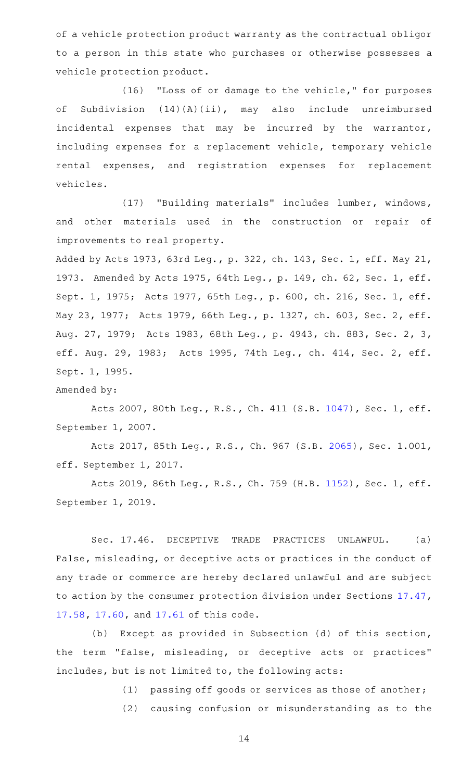of a vehicle protection product warranty as the contractual obligor to a person in this state who purchases or otherwise possesses a vehicle protection product.

(16) "Loss of or damage to the vehicle," for purposes of Subdivision (14)(A)(ii), may also include unreimbursed incidental expenses that may be incurred by the warrantor, including expenses for a replacement vehicle, temporary vehicle rental expenses, and registration expenses for replacement vehicles.

(17) "Building materials" includes lumber, windows, and other materials used in the construction or repair of improvements to real property.

Added by Acts 1973, 63rd Leg., p. 322, ch. 143, Sec. 1, eff. May 21, 1973. Amended by Acts 1975, 64th Leg., p. 149, ch. 62, Sec. 1, eff. Sept. 1, 1975; Acts 1977, 65th Leg., p. 600, ch. 216, Sec. 1, eff. May 23, 1977; Acts 1979, 66th Leg., p. 1327, ch. 603, Sec. 2, eff. Aug. 27, 1979; Acts 1983, 68th Leg., p. 4943, ch. 883, Sec. 2, 3, eff. Aug. 29, 1983; Acts 1995, 74th Leg., ch. 414, Sec. 2, eff. Sept. 1, 1995.

Amended by:

Acts 2007, 80th Leg., R.S., Ch. 411 (S.B. [1047](http://www.legis.state.tx.us/tlodocs/80R/billtext/html/SB01047F.HTM)), Sec. 1, eff. September 1, 2007.

Acts 2017, 85th Leg., R.S., Ch. 967 (S.B. [2065\)](http://www.legis.state.tx.us/tlodocs/85R/billtext/html/SB02065F.HTM), Sec. 1.001, eff. September 1, 2017.

Acts 2019, 86th Leg., R.S., Ch. 759 (H.B. [1152](http://www.legis.state.tx.us/tlodocs/86R/billtext/html/HB01152F.HTM)), Sec. 1, eff. September 1, 2019.

Sec. 17.46. DECEPTIVE TRADE PRACTICES UNLAWFUL. (a) False, misleading, or deceptive acts or practices in the conduct of any trade or commerce are hereby declared unlawful and are subject to action by the consumer protection division under Sections [17.47](http://www.statutes.legis.state.tx.us/GetStatute.aspx?Code=BC&Value=17.47), [17.58,](http://www.statutes.legis.state.tx.us/GetStatute.aspx?Code=BC&Value=17.58) [17.60](http://www.statutes.legis.state.tx.us/GetStatute.aspx?Code=BC&Value=17.60), and [17.61](http://www.statutes.legis.state.tx.us/GetStatute.aspx?Code=BC&Value=17.61) of this code.

(b) Except as provided in Subsection (d) of this section, the term "false, misleading, or deceptive acts or practices" includes, but is not limited to, the following acts:

(1) passing off goods or services as those of another;

(2) causing confusion or misunderstanding as to the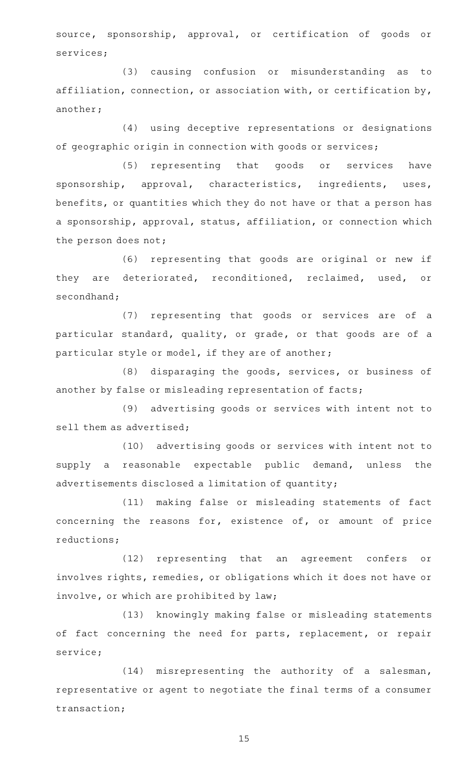source, sponsorship, approval, or certification of goods or services;

(3) causing confusion or misunderstanding as to affiliation, connection, or association with, or certification by, another;

(4) using deceptive representations or designations of geographic origin in connection with goods or services;

(5) representing that goods or services have sponsorship, approval, characteristics, ingredients, uses, benefits, or quantities which they do not have or that a person has a sponsorship, approval, status, affiliation, or connection which the person does not;

(6) representing that goods are original or new if they are deteriorated, reconditioned, reclaimed, used, or secondhand;

(7) representing that goods or services are of a particular standard, quality, or grade, or that goods are of a particular style or model, if they are of another;

 $(8)$  disparaging the goods, services, or business of another by false or misleading representation of facts;

(9) advertising goods or services with intent not to sell them as advertised;

(10) advertising goods or services with intent not to supply a reasonable expectable public demand, unless the advertisements disclosed a limitation of quantity;

(11) making false or misleading statements of fact concerning the reasons for, existence of, or amount of price reductions;

(12) representing that an agreement confers or involves rights, remedies, or obligations which it does not have or involve, or which are prohibited by law;

(13) knowingly making false or misleading statements of fact concerning the need for parts, replacement, or repair service;

(14) misrepresenting the authority of a salesman, representative or agent to negotiate the final terms of a consumer transaction;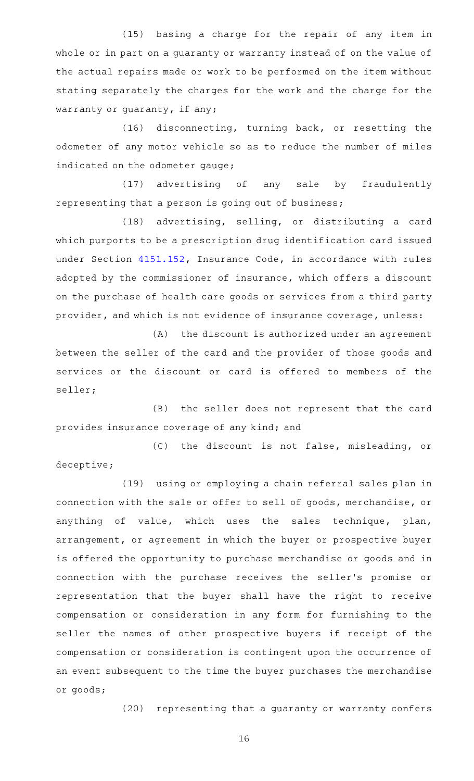(15) basing a charge for the repair of any item in whole or in part on a guaranty or warranty instead of on the value of the actual repairs made or work to be performed on the item without stating separately the charges for the work and the charge for the warranty or guaranty, if any;

(16) disconnecting, turning back, or resetting the odometer of any motor vehicle so as to reduce the number of miles indicated on the odometer gauge;

(17) advertising of any sale by fraudulently representing that a person is going out of business;

(18) advertising, selling, or distributing a card which purports to be a prescription drug identification card issued under Section [4151.152,](http://www.statutes.legis.state.tx.us/GetStatute.aspx?Code=IN&Value=4151.152) Insurance Code, in accordance with rules adopted by the commissioner of insurance, which offers a discount on the purchase of health care goods or services from a third party provider, and which is not evidence of insurance coverage, unless:

(A) the discount is authorized under an agreement between the seller of the card and the provider of those goods and services or the discount or card is offered to members of the seller;

(B) the seller does not represent that the card provides insurance coverage of any kind; and

(C) the discount is not false, misleading, or deceptive;

(19) using or employing a chain referral sales plan in connection with the sale or offer to sell of goods, merchandise, or anything of value, which uses the sales technique, plan, arrangement, or agreement in which the buyer or prospective buyer is offered the opportunity to purchase merchandise or goods and in connection with the purchase receives the seller 's promise or representation that the buyer shall have the right to receive compensation or consideration in any form for furnishing to the seller the names of other prospective buyers if receipt of the compensation or consideration is contingent upon the occurrence of an event subsequent to the time the buyer purchases the merchandise or goods;

(20) representing that a guaranty or warranty confers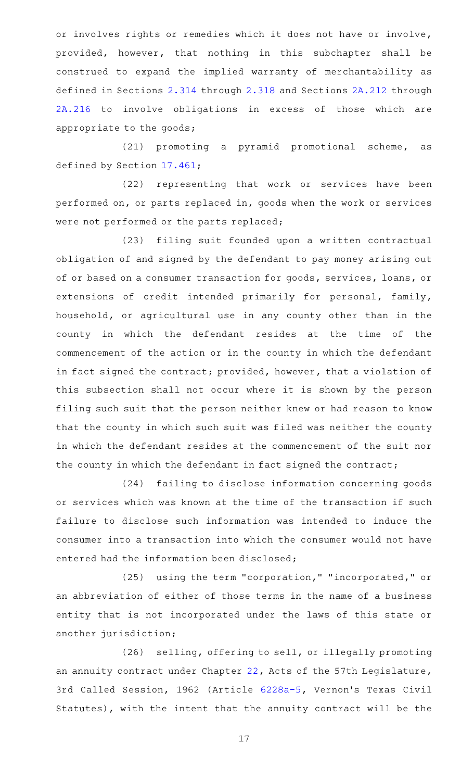or involves rights or remedies which it does not have or involve, provided, however, that nothing in this subchapter shall be construed to expand the implied warranty of merchantability as defined in Sections [2.314](http://www.statutes.legis.state.tx.us/GetStatute.aspx?Code=BC&Value=2.314) through [2.318](http://www.statutes.legis.state.tx.us/GetStatute.aspx?Code=BC&Value=2.318) and Sections [2A.212](http://www.statutes.legis.state.tx.us/GetStatute.aspx?Code=BC&Value=2A.212) through [2A.216](http://www.statutes.legis.state.tx.us/GetStatute.aspx?Code=BC&Value=2A.216) to involve obligations in excess of those which are appropriate to the goods;

 $(21)$  promoting a pyramid promotional scheme, as defined by Section [17.461](http://www.statutes.legis.state.tx.us/GetStatute.aspx?Code=BC&Value=17.461);

(22) representing that work or services have been performed on, or parts replaced in, goods when the work or services were not performed or the parts replaced;

(23) filing suit founded upon a written contractual obligation of and signed by the defendant to pay money arising out of or based on a consumer transaction for goods, services, loans, or extensions of credit intended primarily for personal, family, household, or agricultural use in any county other than in the county in which the defendant resides at the time of the commencement of the action or in the county in which the defendant in fact signed the contract; provided, however, that a violation of this subsection shall not occur where it is shown by the person filing such suit that the person neither knew or had reason to know that the county in which such suit was filed was neither the county in which the defendant resides at the commencement of the suit nor the county in which the defendant in fact signed the contract;

(24) failing to disclose information concerning goods or services which was known at the time of the transaction if such failure to disclose such information was intended to induce the consumer into a transaction into which the consumer would not have entered had the information been disclosed;

(25) using the term "corporation," "incorporated," or an abbreviation of either of those terms in the name of a business entity that is not incorporated under the laws of this state or another jurisdiction;

(26) selling, offering to sell, or illegally promoting an annuity contract under Chapter [22,](http://www.statutes.legis.state.tx.us/GetStatute.aspx?Code=BC&Value=22) Acts of the 57th Legislature, 3rd Called Session, 1962 (Article [6228a-5](http://www.statutes.legis.state.tx.us/GetStatute.aspx?Code=CV&Value=6228a-5), Vernon's Texas Civil Statutes), with the intent that the annuity contract will be the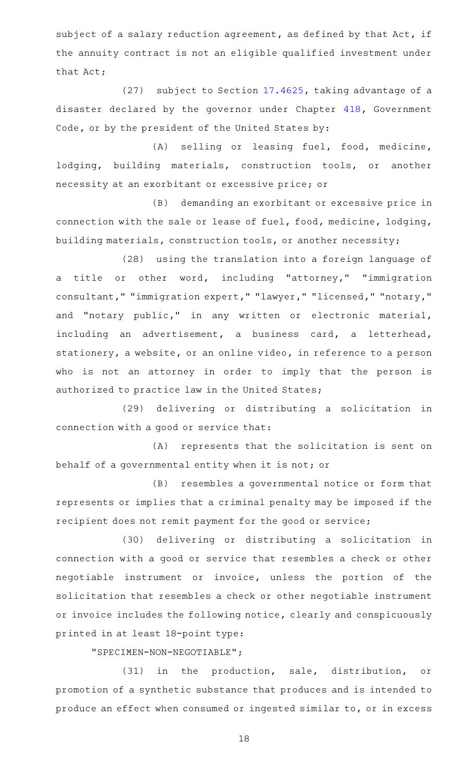subject of a salary reduction agreement, as defined by that Act, if the annuity contract is not an eligible qualified investment under that Act;

 $(27)$  subject to Section [17.4625](http://www.statutes.legis.state.tx.us/GetStatute.aspx?Code=BC&Value=17.4625), taking advantage of a disaster declared by the governor under Chapter [418](http://www.statutes.legis.state.tx.us/GetStatute.aspx?Code=GV&Value=418), Government Code, or by the president of the United States by:

(A) selling or leasing fuel, food, medicine, lodging, building materials, construction tools, or another necessity at an exorbitant or excessive price; or

(B) demanding an exorbitant or excessive price in connection with the sale or lease of fuel, food, medicine, lodging, building materials, construction tools, or another necessity;

(28) using the translation into a foreign language of a title or other word, including "attorney," "immigration consultant," "immigration expert," "lawyer," "licensed," "notary," and "notary public," in any written or electronic material, including an advertisement, a business card, a letterhead, stationery, a website, or an online video, in reference to a person who is not an attorney in order to imply that the person is authorized to practice law in the United States;

(29) delivering or distributing a solicitation in connection with a good or service that:

(A) represents that the solicitation is sent on behalf of a governmental entity when it is not; or

(B) resembles a governmental notice or form that represents or implies that a criminal penalty may be imposed if the recipient does not remit payment for the good or service;

(30) delivering or distributing a solicitation in connection with a good or service that resembles a check or other negotiable instrument or invoice, unless the portion of the solicitation that resembles a check or other negotiable instrument or invoice includes the following notice, clearly and conspicuously printed in at least 18-point type:

"SPECIMEN-NON-NEGOTIABLE";

(31) in the production, sale, distribution, or promotion of a synthetic substance that produces and is intended to produce an effect when consumed or ingested similar to, or in excess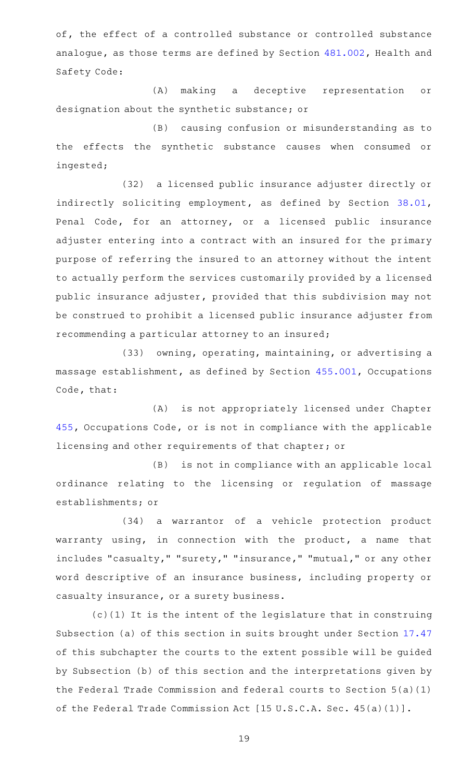of, the effect of a controlled substance or controlled substance analogue, as those terms are defined by Section [481.002](http://www.statutes.legis.state.tx.us/GetStatute.aspx?Code=HS&Value=481.002), Health and Safety Code:

(A) making a deceptive representation or designation about the synthetic substance; or

(B) causing confusion or misunderstanding as to the effects the synthetic substance causes when consumed or ingested;

(32) a licensed public insurance adjuster directly or indirectly soliciting employment, as defined by Section [38.01](http://www.statutes.legis.state.tx.us/GetStatute.aspx?Code=PE&Value=38.01), Penal Code, for an attorney, or a licensed public insurance adjuster entering into a contract with an insured for the primary purpose of referring the insured to an attorney without the intent to actually perform the services customarily provided by a licensed public insurance adjuster, provided that this subdivision may not be construed to prohibit a licensed public insurance adjuster from recommending a particular attorney to an insured;

(33) owning, operating, maintaining, or advertising a massage establishment, as defined by Section [455.001,](http://www.statutes.legis.state.tx.us/GetStatute.aspx?Code=OC&Value=455.001) Occupations Code, that:

(A) is not appropriately licensed under Chapter [455,](http://www.statutes.legis.state.tx.us/GetStatute.aspx?Code=OC&Value=455) Occupations Code, or is not in compliance with the applicable licensing and other requirements of that chapter; or

(B) is not in compliance with an applicable local ordinance relating to the licensing or regulation of massage establishments; or

(34) a warrantor of a vehicle protection product warranty using, in connection with the product, a name that includes "casualty," "surety," "insurance," "mutual," or any other word descriptive of an insurance business, including property or casualty insurance, or a surety business.

(c)(1) It is the intent of the legislature that in construing Subsection (a) of this section in suits brought under Section [17.47](http://www.statutes.legis.state.tx.us/GetStatute.aspx?Code=BC&Value=17.47) of this subchapter the courts to the extent possible will be guided by Subsection (b) of this section and the interpretations given by the Federal Trade Commission and federal courts to Section 5(a)(1) of the Federal Trade Commission Act [15 U.S.C.A. Sec. 45(a)(1)].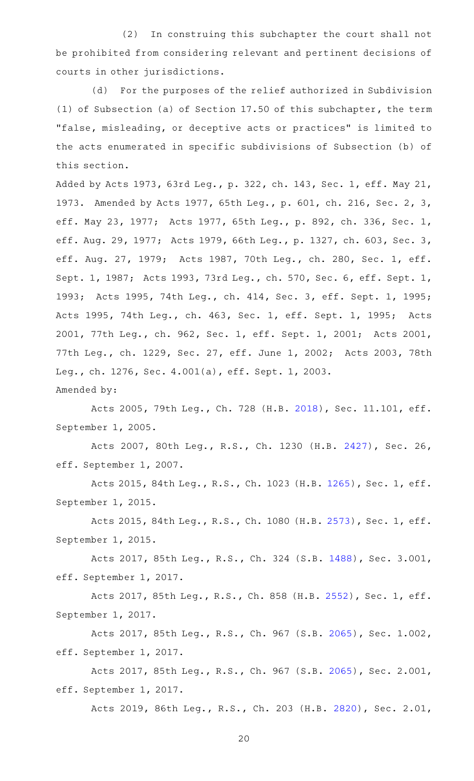(2) In construing this subchapter the court shall not be prohibited from considering relevant and pertinent decisions of courts in other jurisdictions.

(d) For the purposes of the relief authorized in Subdivision (1) of Subsection (a) of Section 17.50 of this subchapter, the term "false, misleading, or deceptive acts or practices" is limited to the acts enumerated in specific subdivisions of Subsection (b) of this section.

Added by Acts 1973, 63rd Leg., p. 322, ch. 143, Sec. 1, eff. May 21, 1973. Amended by Acts 1977, 65th Leg., p. 601, ch. 216, Sec. 2, 3, eff. May 23, 1977; Acts 1977, 65th Leg., p. 892, ch. 336, Sec. 1, eff. Aug. 29, 1977; Acts 1979, 66th Leg., p. 1327, ch. 603, Sec. 3, eff. Aug. 27, 1979; Acts 1987, 70th Leg., ch. 280, Sec. 1, eff. Sept. 1, 1987; Acts 1993, 73rd Leg., ch. 570, Sec. 6, eff. Sept. 1, 1993; Acts 1995, 74th Leg., ch. 414, Sec. 3, eff. Sept. 1, 1995; Acts 1995, 74th Leg., ch. 463, Sec. 1, eff. Sept. 1, 1995; Acts 2001, 77th Leg., ch. 962, Sec. 1, eff. Sept. 1, 2001; Acts 2001, 77th Leg., ch. 1229, Sec. 27, eff. June 1, 2002; Acts 2003, 78th Leg., ch. 1276, Sec. 4.001(a), eff. Sept. 1, 2003. Amended by:

Acts 2005, 79th Leg., Ch. 728 (H.B. [2018\)](http://www.legis.state.tx.us/tlodocs/79R/billtext/html/HB02018F.HTM), Sec. 11.101, eff. September 1, 2005.

Acts 2007, 80th Leg., R.S., Ch. 1230 (H.B. [2427](http://www.legis.state.tx.us/tlodocs/80R/billtext/html/HB02427F.HTM)), Sec. 26, eff. September 1, 2007.

Acts 2015, 84th Leg., R.S., Ch. 1023 (H.B. [1265](http://www.legis.state.tx.us/tlodocs/84R/billtext/html/HB01265F.HTM)), Sec. 1, eff. September 1, 2015.

Acts 2015, 84th Leg., R.S., Ch. 1080 (H.B. [2573](http://www.legis.state.tx.us/tlodocs/84R/billtext/html/HB02573F.HTM)), Sec. 1, eff. September 1, 2015.

Acts 2017, 85th Leg., R.S., Ch. 324 (S.B. [1488\)](http://www.legis.state.tx.us/tlodocs/85R/billtext/html/SB01488F.HTM), Sec. 3.001, eff. September 1, 2017.

Acts 2017, 85th Leg., R.S., Ch. 858 (H.B. [2552](http://www.legis.state.tx.us/tlodocs/85R/billtext/html/HB02552F.HTM)), Sec. 1, eff. September 1, 2017.

Acts 2017, 85th Leg., R.S., Ch. 967 (S.B. [2065\)](http://www.legis.state.tx.us/tlodocs/85R/billtext/html/SB02065F.HTM), Sec. 1.002, eff. September 1, 2017.

Acts 2017, 85th Leg., R.S., Ch. 967 (S.B. [2065\)](http://www.legis.state.tx.us/tlodocs/85R/billtext/html/SB02065F.HTM), Sec. 2.001, eff. September 1, 2017.

Acts 2019, 86th Leg., R.S., Ch. 203 (H.B. [2820\)](http://www.legis.state.tx.us/tlodocs/86R/billtext/html/HB02820F.HTM), Sec. 2.01,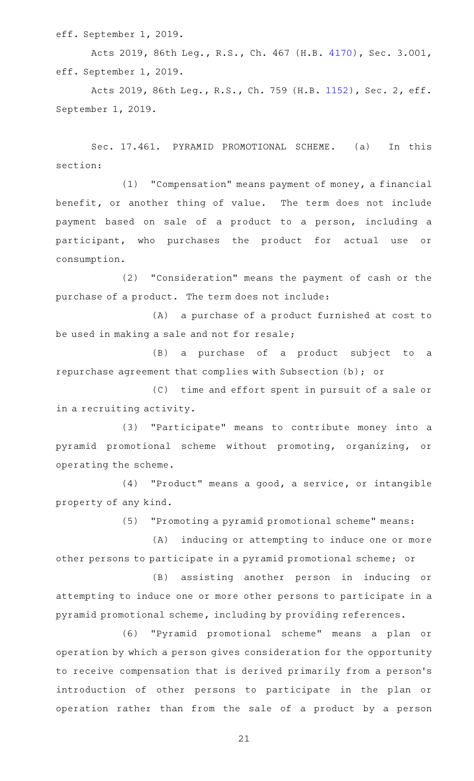eff. September 1, 2019.

Acts 2019, 86th Leg., R.S., Ch. 467 (H.B. [4170\)](http://www.legis.state.tx.us/tlodocs/86R/billtext/html/HB04170F.HTM), Sec. 3.001, eff. September 1, 2019.

Acts 2019, 86th Leg., R.S., Ch. 759 (H.B. [1152](http://www.legis.state.tx.us/tlodocs/86R/billtext/html/HB01152F.HTM)), Sec. 2, eff. September 1, 2019.

Sec. 17.461. PYRAMID PROMOTIONAL SCHEME. (a) In this section:

 $(1)$  "Compensation" means payment of money, a financial benefit, or another thing of value. The term does not include payment based on sale of a product to a person, including a participant, who purchases the product for actual use or consumption.

(2) "Consideration" means the payment of cash or the purchase of a product. The term does not include:

(A) a purchase of a product furnished at cost to be used in making a sale and not for resale;

(B) a purchase of a product subject to a repurchase agreement that complies with Subsection (b); or

(C) time and effort spent in pursuit of a sale or in a recruiting activity.

(3) "Participate" means to contribute money into a pyramid promotional scheme without promoting, organizing, or operating the scheme.

(4) "Product" means a good, a service, or intangible property of any kind.

(5) "Promoting a pyramid promotional scheme" means:

(A) inducing or attempting to induce one or more other persons to participate in a pyramid promotional scheme; or

(B) assisting another person in inducing or attempting to induce one or more other persons to participate in a pyramid promotional scheme, including by providing references.

(6) "Pyramid promotional scheme" means a plan or operation by which a person gives consideration for the opportunity to receive compensation that is derived primarily from a person 's introduction of other persons to participate in the plan or operation rather than from the sale of a product by a person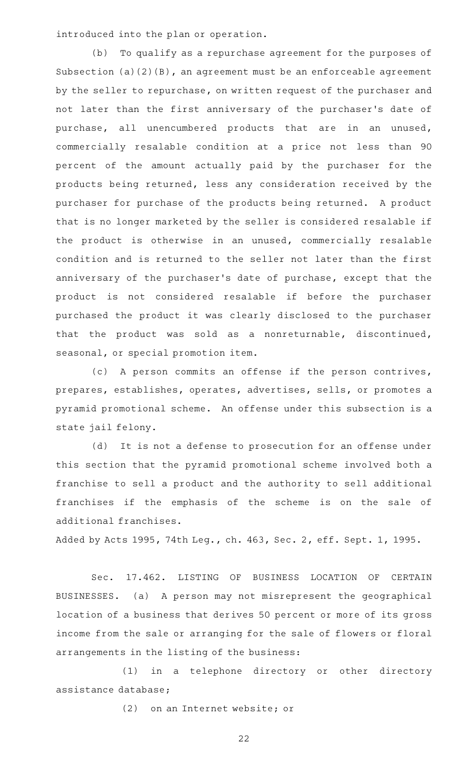introduced into the plan or operation.

(b) To qualify as a repurchase agreement for the purposes of Subsection (a)(2)(B), an agreement must be an enforceable agreement by the seller to repurchase, on written request of the purchaser and not later than the first anniversary of the purchaser 's date of purchase, all unencumbered products that are in an unused, commercially resalable condition at a price not less than 90 percent of the amount actually paid by the purchaser for the products being returned, less any consideration received by the purchaser for purchase of the products being returned. A product that is no longer marketed by the seller is considered resalable if the product is otherwise in an unused, commercially resalable condition and is returned to the seller not later than the first anniversary of the purchaser 's date of purchase, except that the product is not considered resalable if before the purchaser purchased the product it was clearly disclosed to the purchaser that the product was sold as a nonreturnable, discontinued, seasonal, or special promotion item.

(c) A person commits an offense if the person contrives, prepares, establishes, operates, advertises, sells, or promotes a pyramid promotional scheme. An offense under this subsection is a state jail felony.

(d) It is not a defense to prosecution for an offense under this section that the pyramid promotional scheme involved both a franchise to sell a product and the authority to sell additional franchises if the emphasis of the scheme is on the sale of additional franchises.

Added by Acts 1995, 74th Leg., ch. 463, Sec. 2, eff. Sept. 1, 1995.

Sec. 17.462. LISTING OF BUSINESS LOCATION OF CERTAIN BUSINESSES. (a) A person may not misrepresent the geographical location of a business that derives 50 percent or more of its gross income from the sale or arranging for the sale of flowers or floral arrangements in the listing of the business:

(1) in a telephone directory or other directory assistance database;

(2) on an Internet website; or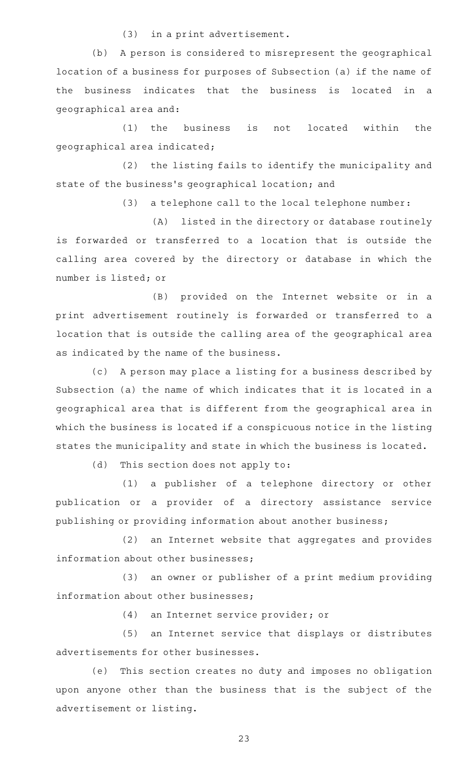(3) in a print advertisement.

(b) A person is considered to misrepresent the geographical location of a business for purposes of Subsection (a) if the name of the business indicates that the business is located in a geographical area and:

(1) the business is not located within the geographical area indicated;

(2) the listing fails to identify the municipality and state of the business's geographical location; and

(3) a telephone call to the local telephone number:

(A) listed in the directory or database routinely is forwarded or transferred to a location that is outside the calling area covered by the directory or database in which the number is listed; or

(B) provided on the Internet website or in a print advertisement routinely is forwarded or transferred to a location that is outside the calling area of the geographical area as indicated by the name of the business.

(c) A person may place a listing for a business described by Subsection (a) the name of which indicates that it is located in a geographical area that is different from the geographical area in which the business is located if a conspicuous notice in the listing states the municipality and state in which the business is located.

 $(d)$  This section does not apply to:

(1) a publisher of a telephone directory or other publication or a provider of a directory assistance service publishing or providing information about another business;

(2) an Internet website that aggregates and provides information about other businesses;

(3) an owner or publisher of a print medium providing information about other businesses;

(4) an Internet service provider; or

(5) an Internet service that displays or distributes advertisements for other businesses.

(e) This section creates no duty and imposes no obligation upon anyone other than the business that is the subject of the advertisement or listing.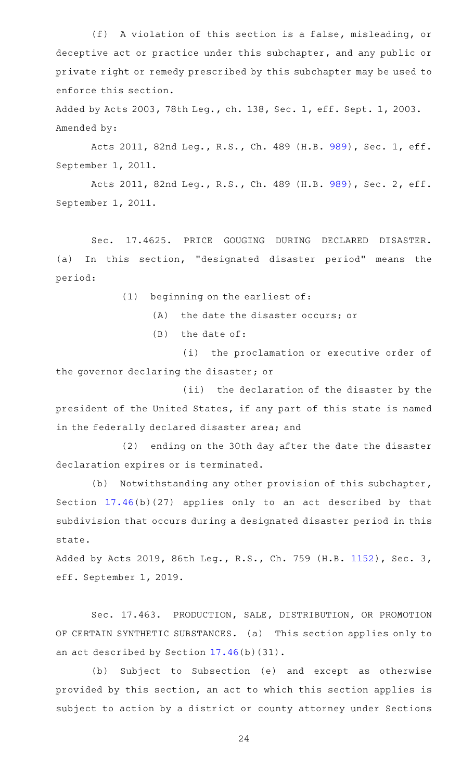(f) A violation of this section is a false, misleading, or deceptive act or practice under this subchapter, and any public or private right or remedy prescribed by this subchapter may be used to enforce this section.

Added by Acts 2003, 78th Leg., ch. 138, Sec. 1, eff. Sept. 1, 2003. Amended by:

Acts 2011, 82nd Leg., R.S., Ch. 489 (H.B. [989](http://www.legis.state.tx.us/tlodocs/82R/billtext/html/HB00989F.HTM)), Sec. 1, eff. September 1, 2011.

Acts 2011, 82nd Leg., R.S., Ch. 489 (H.B. [989](http://www.legis.state.tx.us/tlodocs/82R/billtext/html/HB00989F.HTM)), Sec. 2, eff. September 1, 2011.

Sec. 17.4625. PRICE GOUGING DURING DECLARED DISASTER. (a) In this section, "designated disaster period" means the period:

 $(1)$  beginning on the earliest of:

 $(A)$  the date the disaster occurs; or

 $(B)$  the date of:

(i) the proclamation or executive order of the governor declaring the disaster; or

(ii) the declaration of the disaster by the president of the United States, if any part of this state is named in the federally declared disaster area; and

(2) ending on the 30th day after the date the disaster declaration expires or is terminated.

 $(b)$  Notwithstanding any other provision of this subchapter, Section [17.46\(](http://www.statutes.legis.state.tx.us/GetStatute.aspx?Code=BC&Value=17.46)b)(27) applies only to an act described by that subdivision that occurs during a designated disaster period in this state.

Added by Acts 2019, 86th Leg., R.S., Ch. 759 (H.B. [1152](http://www.legis.state.tx.us/tlodocs/86R/billtext/html/HB01152F.HTM)), Sec. 3, eff. September 1, 2019.

Sec. 17.463. PRODUCTION, SALE, DISTRIBUTION, OR PROMOTION OF CERTAIN SYNTHETIC SUBSTANCES. (a) This section applies only to an act described by Section [17.46\(](http://www.statutes.legis.state.tx.us/GetStatute.aspx?Code=BC&Value=17.46)b)(31).

(b) Subject to Subsection (e) and except as otherwise provided by this section, an act to which this section applies is subject to action by a district or county attorney under Sections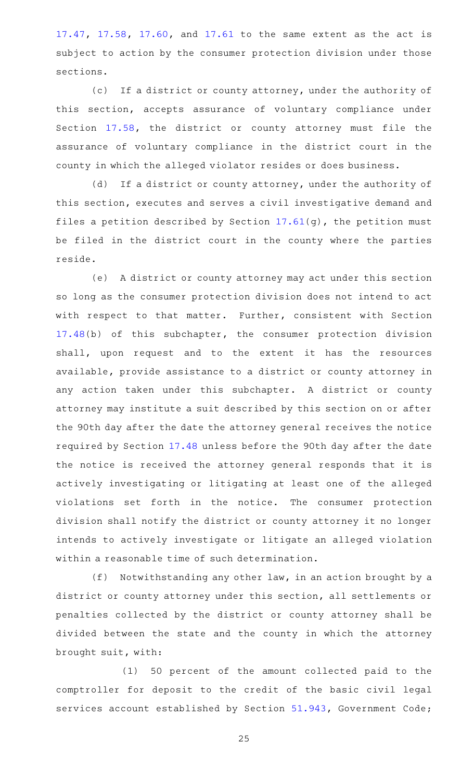[17.47,](http://www.statutes.legis.state.tx.us/GetStatute.aspx?Code=BC&Value=17.47) [17.58](http://www.statutes.legis.state.tx.us/GetStatute.aspx?Code=BC&Value=17.58), [17.60](http://www.statutes.legis.state.tx.us/GetStatute.aspx?Code=BC&Value=17.60), and [17.61](http://www.statutes.legis.state.tx.us/GetStatute.aspx?Code=BC&Value=17.61) to the same extent as the act is subject to action by the consumer protection division under those sections.

(c) If a district or county attorney, under the authority of this section, accepts assurance of voluntary compliance under Section [17.58,](http://www.statutes.legis.state.tx.us/GetStatute.aspx?Code=BC&Value=17.58) the district or county attorney must file the assurance of voluntary compliance in the district court in the county in which the alleged violator resides or does business.

(d) If a district or county attorney, under the authority of this section, executes and serves a civil investigative demand and files a petition described by Section [17.61](http://www.statutes.legis.state.tx.us/GetStatute.aspx?Code=BC&Value=17.61)(g), the petition must be filed in the district court in the county where the parties reside.

(e) A district or county attorney may act under this section so long as the consumer protection division does not intend to act with respect to that matter. Further, consistent with Section [17.48\(](http://www.statutes.legis.state.tx.us/GetStatute.aspx?Code=BC&Value=17.48)b) of this subchapter, the consumer protection division shall, upon request and to the extent it has the resources available, provide assistance to a district or county attorney in any action taken under this subchapter. A district or county attorney may institute a suit described by this section on or after the 90th day after the date the attorney general receives the notice required by Section [17.48](http://www.statutes.legis.state.tx.us/GetStatute.aspx?Code=BC&Value=17.48) unless before the 90th day after the date the notice is received the attorney general responds that it is actively investigating or litigating at least one of the alleged violations set forth in the notice. The consumer protection division shall notify the district or county attorney it no longer intends to actively investigate or litigate an alleged violation within a reasonable time of such determination.

 $(f)$  Notwithstanding any other law, in an action brought by a district or county attorney under this section, all settlements or penalties collected by the district or county attorney shall be divided between the state and the county in which the attorney brought suit, with:

(1) 50 percent of the amount collected paid to the comptroller for deposit to the credit of the basic civil legal services account established by Section [51.943](http://www.statutes.legis.state.tx.us/GetStatute.aspx?Code=GV&Value=51.943), Government Code;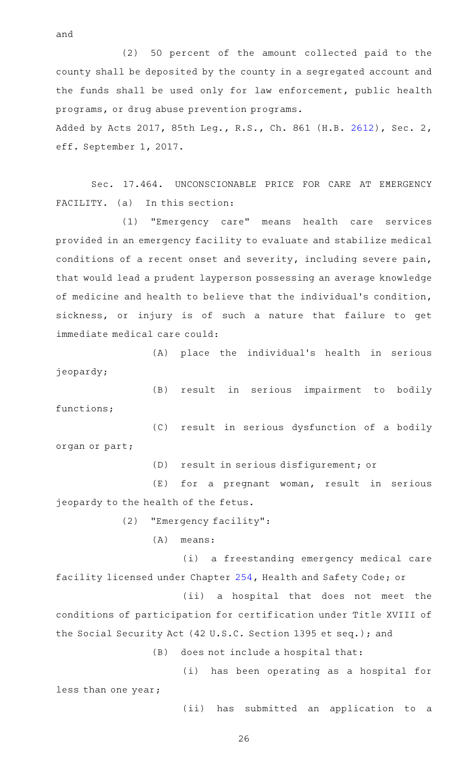and

(2) 50 percent of the amount collected paid to the county shall be deposited by the county in a segregated account and the funds shall be used only for law enforcement, public health programs, or drug abuse prevention programs.

Added by Acts 2017, 85th Leg., R.S., Ch. 861 (H.B. [2612](http://www.legis.state.tx.us/tlodocs/85R/billtext/html/HB02612F.HTM)), Sec. 2, eff. September 1, 2017.

Sec. 17.464. UNCONSCIONABLE PRICE FOR CARE AT EMERGENCY FACILITY. (a) In this section:

(1) "Emergency care" means health care services provided in an emergency facility to evaluate and stabilize medical conditions of a recent onset and severity, including severe pain, that would lead a prudent layperson possessing an average knowledge of medicine and health to believe that the individual 's condition, sickness, or injury is of such a nature that failure to get immediate medical care could:

(A) place the individual's health in serious

jeopardy;

(B) result in serious impairment to bodily functions;

(C) result in serious dysfunction of a bodily organ or part;

(D) result in serious disfigurement; or

(E) for a pregnant woman, result in serious jeopardy to the health of the fetus.

(2) "Emergency facility":

 $(A)$  means:

(i) a freestanding emergency medical care facility licensed under Chapter [254](http://www.statutes.legis.state.tx.us/GetStatute.aspx?Code=HS&Value=254), Health and Safety Code; or

(ii) a hospital that does not meet the conditions of participation for certification under Title XVIII of the Social Security Act (42 U.S.C. Section 1395 et seq.); and

 $(B)$  does not include a hospital that:

(i) has been operating as a hospital for less than one year;

(ii) has submitted an application to a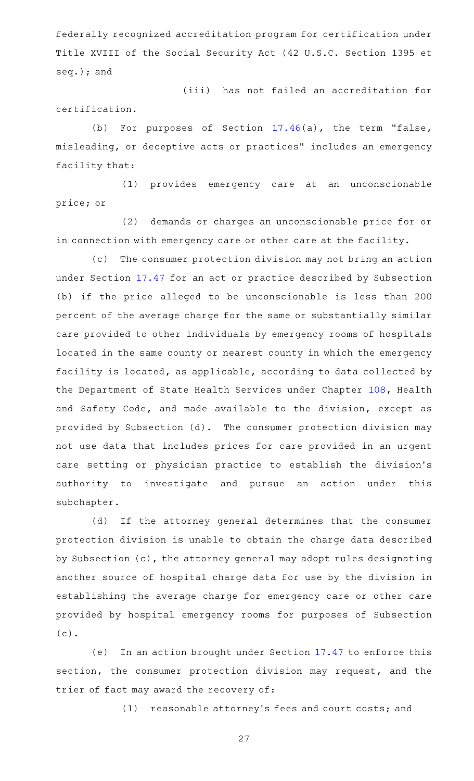federally recognized accreditation program for certification under Title XVIII of the Social Security Act (42 U.S.C. Section 1395 et seq.); and

(iii) has not failed an accreditation for certification.

(b) For purposes of Section  $17.46(a)$  $17.46(a)$ , the term "false, misleading, or deceptive acts or practices" includes an emergency facility that:

(1) provides emergency care at an unconscionable price; or

(2) demands or charges an unconscionable price for or in connection with emergency care or other care at the facility.

(c) The consumer protection division may not bring an action under Section [17.47](http://www.statutes.legis.state.tx.us/GetStatute.aspx?Code=BC&Value=17.47) for an act or practice described by Subsection (b) if the price alleged to be unconscionable is less than 200 percent of the average charge for the same or substantially similar care provided to other individuals by emergency rooms of hospitals located in the same county or nearest county in which the emergency facility is located, as applicable, according to data collected by the Department of State Health Services under Chapter [108](http://www.statutes.legis.state.tx.us/GetStatute.aspx?Code=HS&Value=108), Health and Safety Code, and made available to the division, except as provided by Subsection (d). The consumer protection division may not use data that includes prices for care provided in an urgent care setting or physician practice to establish the division 's authority to investigate and pursue an action under this subchapter.

(d) If the attorney general determines that the consumer protection division is unable to obtain the charge data described by Subsection (c), the attorney general may adopt rules designating another source of hospital charge data for use by the division in establishing the average charge for emergency care or other care provided by hospital emergency rooms for purposes of Subsection (c).

(e) In an action brought under Section  $17.47$  to enforce this section, the consumer protection division may request, and the trier of fact may award the recovery of:

(1) reasonable attorney's fees and court costs; and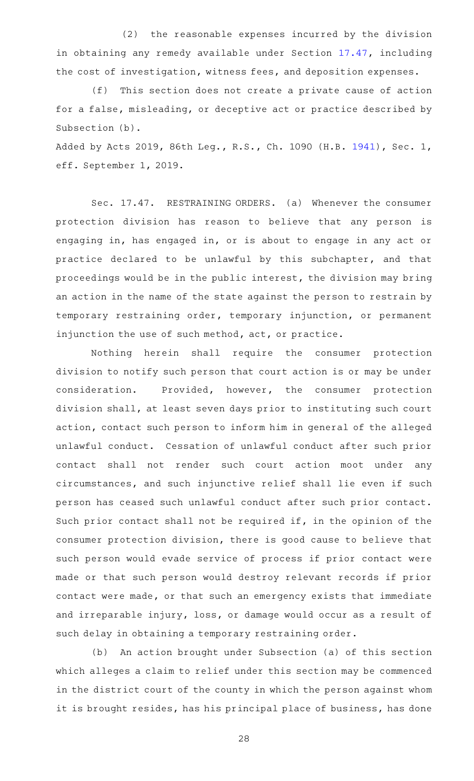(2) the reasonable expenses incurred by the division in obtaining any remedy available under Section [17.47,](http://www.statutes.legis.state.tx.us/GetStatute.aspx?Code=BC&Value=17.47) including the cost of investigation, witness fees, and deposition expenses.

(f) This section does not create a private cause of action for a false, misleading, or deceptive act or practice described by Subsection (b).

Added by Acts 2019, 86th Leg., R.S., Ch. 1090 (H.B. [1941\)](http://www.legis.state.tx.us/tlodocs/86R/billtext/html/HB01941F.HTM), Sec. 1, eff. September 1, 2019.

Sec. 17.47. RESTRAINING ORDERS. (a) Whenever the consumer protection division has reason to believe that any person is engaging in, has engaged in, or is about to engage in any act or practice declared to be unlawful by this subchapter, and that proceedings would be in the public interest, the division may bring an action in the name of the state against the person to restrain by temporary restraining order, temporary injunction, or permanent injunction the use of such method, act, or practice.

Nothing herein shall require the consumer protection division to notify such person that court action is or may be under consideration. Provided, however, the consumer protection division shall, at least seven days prior to instituting such court action, contact such person to inform him in general of the alleged unlawful conduct. Cessation of unlawful conduct after such prior contact shall not render such court action moot under any circumstances, and such injunctive relief shall lie even if such person has ceased such unlawful conduct after such prior contact. Such prior contact shall not be required if, in the opinion of the consumer protection division, there is good cause to believe that such person would evade service of process if prior contact were made or that such person would destroy relevant records if prior contact were made, or that such an emergency exists that immediate and irreparable injury, loss, or damage would occur as a result of such delay in obtaining a temporary restraining order.

(b) An action brought under Subsection (a) of this section which alleges a claim to relief under this section may be commenced in the district court of the county in which the person against whom it is brought resides, has his principal place of business, has done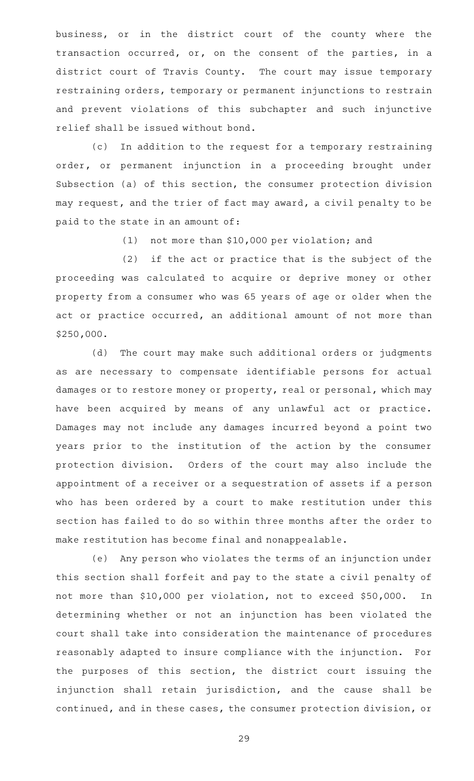business, or in the district court of the county where the transaction occurred, or, on the consent of the parties, in a district court of Travis County. The court may issue temporary restraining orders, temporary or permanent injunctions to restrain and prevent violations of this subchapter and such injunctive relief shall be issued without bond.

(c) In addition to the request for a temporary restraining order, or permanent injunction in a proceeding brought under Subsection (a) of this section, the consumer protection division may request, and the trier of fact may award, a civil penalty to be paid to the state in an amount of:

(1) not more than \$10,000 per violation; and

 $(2)$  if the act or practice that is the subject of the proceeding was calculated to acquire or deprive money or other property from a consumer who was 65 years of age or older when the act or practice occurred, an additional amount of not more than \$250,000.

(d) The court may make such additional orders or judgments as are necessary to compensate identifiable persons for actual damages or to restore money or property, real or personal, which may have been acquired by means of any unlawful act or practice. Damages may not include any damages incurred beyond a point two years prior to the institution of the action by the consumer protection division. Orders of the court may also include the appointment of a receiver or a sequestration of assets if a person who has been ordered by a court to make restitution under this section has failed to do so within three months after the order to make restitution has become final and nonappealable.

(e) Any person who violates the terms of an injunction under this section shall forfeit and pay to the state a civil penalty of not more than \$10,000 per violation, not to exceed \$50,000. In determining whether or not an injunction has been violated the court shall take into consideration the maintenance of procedures reasonably adapted to insure compliance with the injunction. For the purposes of this section, the district court issuing the injunction shall retain jurisdiction, and the cause shall be continued, and in these cases, the consumer protection division, or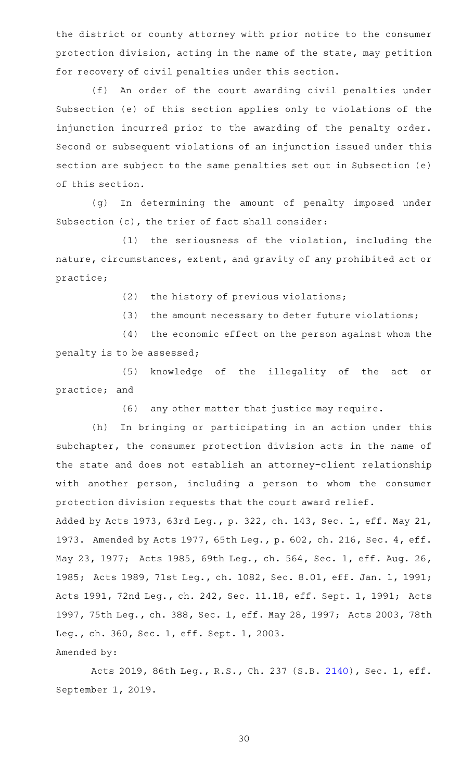the district or county attorney with prior notice to the consumer protection division, acting in the name of the state, may petition for recovery of civil penalties under this section.

(f) An order of the court awarding civil penalties under Subsection (e) of this section applies only to violations of the injunction incurred prior to the awarding of the penalty order. Second or subsequent violations of an injunction issued under this section are subject to the same penalties set out in Subsection (e) of this section.

(g) In determining the amount of penalty imposed under Subsection (c), the trier of fact shall consider:

 $(1)$  the seriousness of the violation, including the nature, circumstances, extent, and gravity of any prohibited act or practice;

(2) the history of previous violations;

 $(3)$  the amount necessary to deter future violations;

(4) the economic effect on the person against whom the penalty is to be assessed;

(5) knowledge of the illegality of the act or practice; and

(6) any other matter that justice may require.

(h) In bringing or participating in an action under this subchapter, the consumer protection division acts in the name of the state and does not establish an attorney-client relationship with another person, including a person to whom the consumer protection division requests that the court award relief. Added by Acts 1973, 63rd Leg., p. 322, ch. 143, Sec. 1, eff. May 21, 1973. Amended by Acts 1977, 65th Leg., p. 602, ch. 216, Sec. 4, eff. May 23, 1977; Acts 1985, 69th Leg., ch. 564, Sec. 1, eff. Aug. 26, 1985; Acts 1989, 71st Leg., ch. 1082, Sec. 8.01, eff. Jan. 1, 1991; Acts 1991, 72nd Leg., ch. 242, Sec. 11.18, eff. Sept. 1, 1991; Acts 1997, 75th Leg., ch. 388, Sec. 1, eff. May 28, 1997; Acts 2003, 78th Leg., ch. 360, Sec. 1, eff. Sept. 1, 2003. Amended by:

Acts 2019, 86th Leg., R.S., Ch. 237 (S.B. [2140](http://www.legis.state.tx.us/tlodocs/86R/billtext/html/SB02140F.HTM)), Sec. 1, eff. September 1, 2019.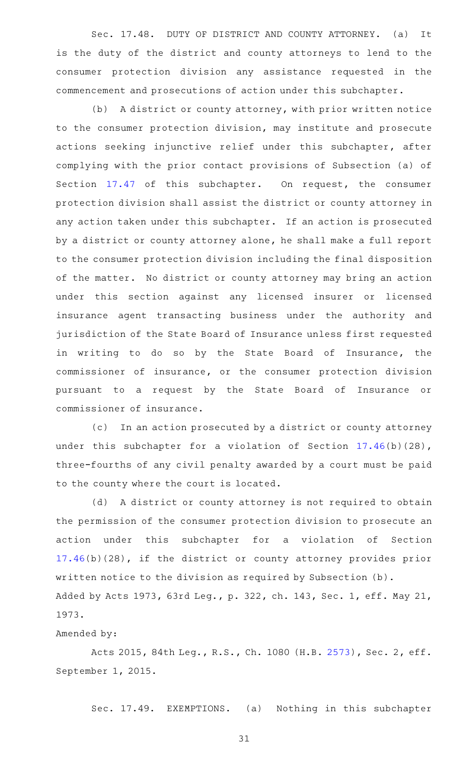Sec. 17.48. DUTY OF DISTRICT AND COUNTY ATTORNEY. (a) It is the duty of the district and county attorneys to lend to the consumer protection division any assistance requested in the commencement and prosecutions of action under this subchapter.

(b) A district or county attorney, with prior written notice to the consumer protection division, may institute and prosecute actions seeking injunctive relief under this subchapter, after complying with the prior contact provisions of Subsection (a) of Section [17.47](http://www.statutes.legis.state.tx.us/GetStatute.aspx?Code=BC&Value=17.47) of this subchapter. On request, the consumer protection division shall assist the district or county attorney in any action taken under this subchapter. If an action is prosecuted by a district or county attorney alone, he shall make a full report to the consumer protection division including the final disposition of the matter. No district or county attorney may bring an action under this section against any licensed insurer or licensed insurance agent transacting business under the authority and jurisdiction of the State Board of Insurance unless first requested in writing to do so by the State Board of Insurance, the commissioner of insurance, or the consumer protection division pursuant to a request by the State Board of Insurance or commissioner of insurance.

(c) In an action prosecuted by a district or county attorney under this subchapter for a violation of Section [17.46\(](http://www.statutes.legis.state.tx.us/GetStatute.aspx?Code=BC&Value=17.46)b)(28), three-fourths of any civil penalty awarded by a court must be paid to the county where the court is located.

(d) A district or county attorney is not required to obtain the permission of the consumer protection division to prosecute an action under this subchapter for a violation of Section [17.46\(](http://www.statutes.legis.state.tx.us/GetStatute.aspx?Code=BC&Value=17.46)b)(28), if the district or county attorney provides prior written notice to the division as required by Subsection (b). Added by Acts 1973, 63rd Leg., p. 322, ch. 143, Sec. 1, eff. May 21, 1973.

### Amended by:

Acts 2015, 84th Leg., R.S., Ch. 1080 (H.B. [2573](http://www.legis.state.tx.us/tlodocs/84R/billtext/html/HB02573F.HTM)), Sec. 2, eff. September 1, 2015.

Sec. 17.49. EXEMPTIONS. (a) Nothing in this subchapter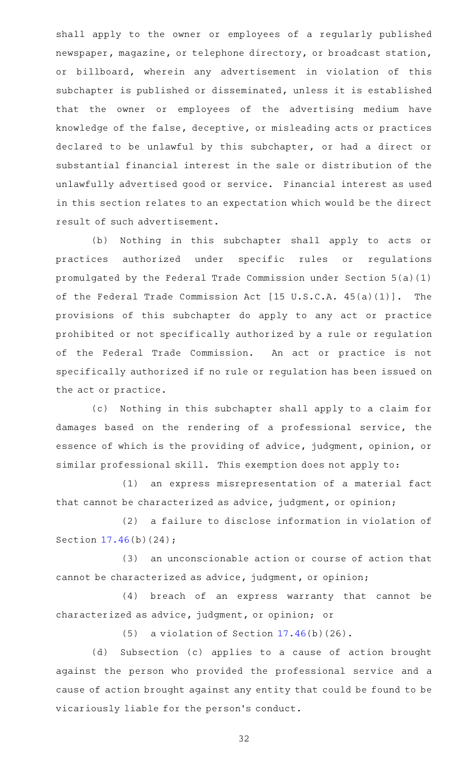shall apply to the owner or employees of a regularly published newspaper, magazine, or telephone directory, or broadcast station, or billboard, wherein any advertisement in violation of this subchapter is published or disseminated, unless it is established that the owner or employees of the advertising medium have knowledge of the false, deceptive, or misleading acts or practices declared to be unlawful by this subchapter, or had a direct or substantial financial interest in the sale or distribution of the unlawfully advertised good or service. Financial interest as used in this section relates to an expectation which would be the direct result of such advertisement.

(b) Nothing in this subchapter shall apply to acts or practices authorized under specific rules or regulations promulgated by the Federal Trade Commission under Section 5(a)(1) of the Federal Trade Commission Act [15 U.S.C.A. 45(a)(1)]. The provisions of this subchapter do apply to any act or practice prohibited or not specifically authorized by a rule or regulation of the Federal Trade Commission. An act or practice is not specifically authorized if no rule or regulation has been issued on the act or practice.

(c) Nothing in this subchapter shall apply to a claim for damages based on the rendering of a professional service, the essence of which is the providing of advice, judgment, opinion, or similar professional skill. This exemption does not apply to:

(1) an express misrepresentation of a material fact that cannot be characterized as advice, judgment, or opinion;

(2) a failure to disclose information in violation of Section [17.46\(](http://www.statutes.legis.state.tx.us/GetStatute.aspx?Code=BC&Value=17.46)b)(24);

 $(3)$  an unconscionable action or course of action that cannot be characterized as advice, judgment, or opinion;

(4) breach of an express warranty that cannot be characterized as advice, judgment, or opinion; or

(5) a violation of Section  $17.46(b)(26)$  $17.46(b)(26)$ .

(d) Subsection (c) applies to a cause of action brought against the person who provided the professional service and a cause of action brought against any entity that could be found to be vicariously liable for the person 's conduct.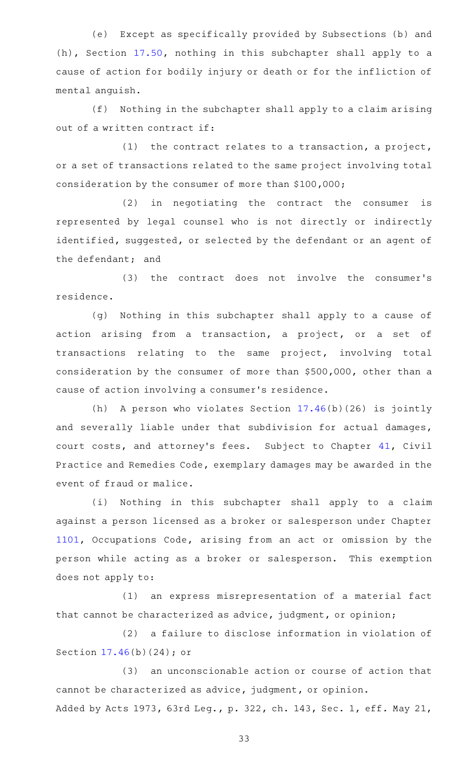(e) Except as specifically provided by Subsections (b) and (h), Section [17.50,](http://www.statutes.legis.state.tx.us/GetStatute.aspx?Code=BC&Value=17.50) nothing in this subchapter shall apply to a cause of action for bodily injury or death or for the infliction of mental anguish.

(f) Nothing in the subchapter shall apply to a claim arising out of a written contract if:

(1) the contract relates to a transaction, a project, or a set of transactions related to the same project involving total consideration by the consumer of more than \$100,000;

 $(2)$  in negotiating the contract the consumer is represented by legal counsel who is not directly or indirectly identified, suggested, or selected by the defendant or an agent of the defendant; and

(3) the contract does not involve the consumer's residence.

(g) Nothing in this subchapter shall apply to a cause of action arising from a transaction, a project, or a set of transactions relating to the same project, involving total consideration by the consumer of more than \$500,000, other than a cause of action involving a consumer 's residence.

(h) A person who violates Section  $17.46(b)$  $17.46(b)$  (26) is jointly and severally liable under that subdivision for actual damages, court costs, and attorney's fees. Subject to Chapter [41,](http://www.statutes.legis.state.tx.us/GetStatute.aspx?Code=CP&Value=41) Civil Practice and Remedies Code, exemplary damages may be awarded in the event of fraud or malice.

(i) Nothing in this subchapter shall apply to a claim against a person licensed as a broker or salesperson under Chapter [1101](http://www.statutes.legis.state.tx.us/GetStatute.aspx?Code=OC&Value=1101), Occupations Code, arising from an act or omission by the person while acting as a broker or salesperson. This exemption does not apply to:

(1) an express misrepresentation of a material fact that cannot be characterized as advice, judgment, or opinion;

(2) a failure to disclose information in violation of Section [17.46\(](http://www.statutes.legis.state.tx.us/GetStatute.aspx?Code=BC&Value=17.46)b)(24); or

 $(3)$  an unconscionable action or course of action that cannot be characterized as advice, judgment, or opinion. Added by Acts 1973, 63rd Leg., p. 322, ch. 143, Sec. 1, eff. May 21,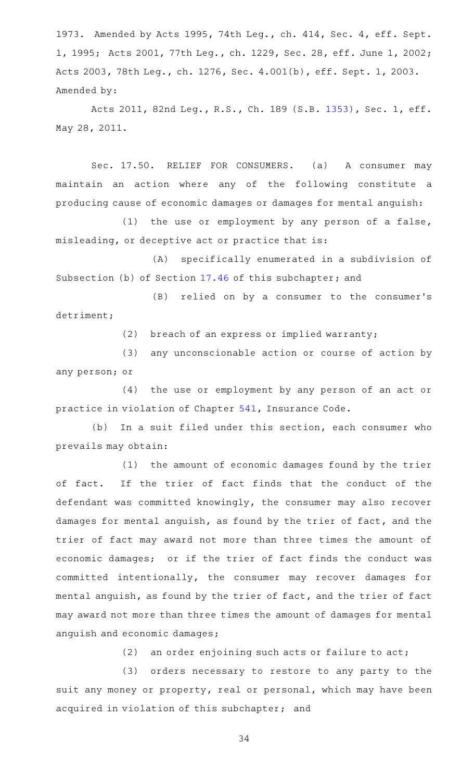1973. Amended by Acts 1995, 74th Leg., ch. 414, Sec. 4, eff. Sept. 1, 1995; Acts 2001, 77th Leg., ch. 1229, Sec. 28, eff. June 1, 2002; Acts 2003, 78th Leg., ch. 1276, Sec. 4.001(b), eff. Sept. 1, 2003. Amended by:

Acts 2011, 82nd Leg., R.S., Ch. 189 (S.B. [1353](http://www.legis.state.tx.us/tlodocs/82R/billtext/html/SB01353F.HTM)), Sec. 1, eff. May 28, 2011.

Sec. 17.50. RELIEF FOR CONSUMERS. (a) A consumer may maintain an action where any of the following constitute a producing cause of economic damages or damages for mental anguish:

(1) the use or employment by any person of a false, misleading, or deceptive act or practice that is:

(A) specifically enumerated in a subdivision of Subsection (b) of Section [17.46](http://www.statutes.legis.state.tx.us/GetStatute.aspx?Code=BC&Value=17.46) of this subchapter; and

(B) relied on by a consumer to the consumer's detriment;

(2) breach of an express or implied warranty;

(3) any unconscionable action or course of action by any person; or

(4) the use or employment by any person of an act or practice in violation of Chapter [541](http://www.statutes.legis.state.tx.us/GetStatute.aspx?Code=IN&Value=541), Insurance Code.

(b) In a suit filed under this section, each consumer who prevails may obtain:

(1) the amount of economic damages found by the trier of fact. If the trier of fact finds that the conduct of the defendant was committed knowingly, the consumer may also recover damages for mental anguish, as found by the trier of fact, and the trier of fact may award not more than three times the amount of economic damages; or if the trier of fact finds the conduct was committed intentionally, the consumer may recover damages for mental anguish, as found by the trier of fact, and the trier of fact may award not more than three times the amount of damages for mental anguish and economic damages;

 $(2)$  an order enjoining such acts or failure to act;

(3) orders necessary to restore to any party to the suit any money or property, real or personal, which may have been acquired in violation of this subchapter; and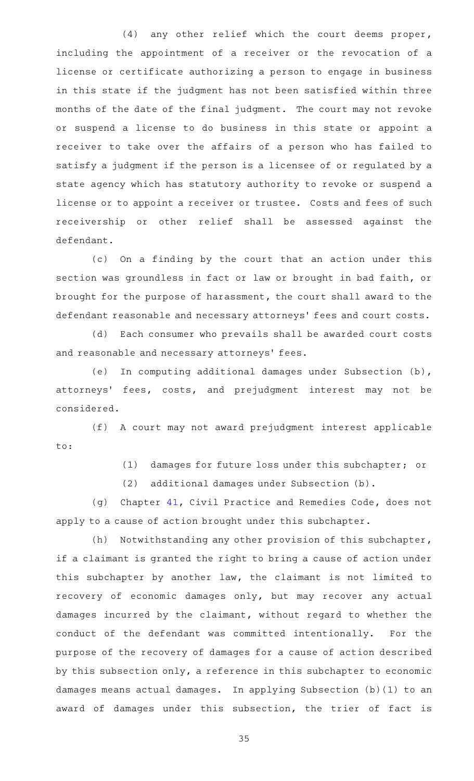$(4)$  any other relief which the court deems proper, including the appointment of a receiver or the revocation of a license or certificate authorizing a person to engage in business in this state if the judgment has not been satisfied within three months of the date of the final judgment. The court may not revoke or suspend a license to do business in this state or appoint a receiver to take over the affairs of a person who has failed to satisfy a judgment if the person is a licensee of or regulated by a state agency which has statutory authority to revoke or suspend a license or to appoint a receiver or trustee. Costs and fees of such receivership or other relief shall be assessed against the defendant.

(c) On a finding by the court that an action under this section was groundless in fact or law or brought in bad faith, or brought for the purpose of harassment, the court shall award to the defendant reasonable and necessary attorneys' fees and court costs.

(d) Each consumer who prevails shall be awarded court costs and reasonable and necessary attorneys' fees.

(e) In computing additional damages under Subsection (b), attorneys' fees, costs, and prejudgment interest may not be considered.

(f) A court may not award prejudgment interest applicable to:

(1) damages for future loss under this subchapter; or

(2) additional damages under Subsection (b).

(g) Chapter [41](http://www.statutes.legis.state.tx.us/GetStatute.aspx?Code=CP&Value=41), Civil Practice and Remedies Code, does not apply to a cause of action brought under this subchapter.

(h) Notwithstanding any other provision of this subchapter, if a claimant is granted the right to bring a cause of action under this subchapter by another law, the claimant is not limited to recovery of economic damages only, but may recover any actual damages incurred by the claimant, without regard to whether the conduct of the defendant was committed intentionally. For the purpose of the recovery of damages for a cause of action described by this subsection only, a reference in this subchapter to economic damages means actual damages. In applying Subsection (b)(1) to an award of damages under this subsection, the trier of fact is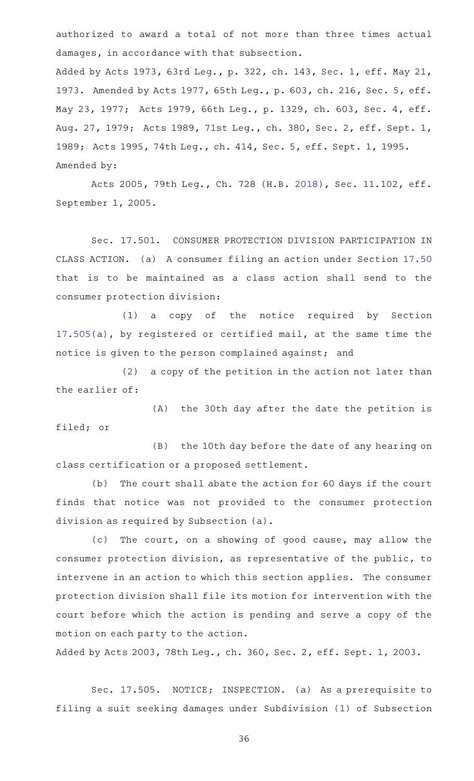authorized to award a total of not more than three times actual damages, in accordance with that subsection.

Added by Acts 1973, 63rd Leg., p. 322, ch. 143, Sec. 1, eff. May 21, 1973. Amended by Acts 1977, 65th Leg., p. 603, ch. 216, Sec. 5, eff. May 23, 1977; Acts 1979, 66th Leg., p. 1329, ch. 603, Sec. 4, eff. Aug. 27, 1979; Acts 1989, 71st Leg., ch. 380, Sec. 2, eff. Sept. 1, 1989; Acts 1995, 74th Leg., ch. 414, Sec. 5, eff. Sept. 1, 1995. Amended by:

Acts 2005, 79th Leg., Ch. 728 (H.B. [2018\)](http://www.legis.state.tx.us/tlodocs/79R/billtext/html/HB02018F.HTM), Sec. 11.102, eff. September 1, 2005.

Sec. 17.501. CONSUMER PROTECTION DIVISION PARTICIPATION IN CLASS ACTION. (a) A consumer filing an action under Section [17.50](http://www.statutes.legis.state.tx.us/GetStatute.aspx?Code=BC&Value=17.50) that is to be maintained as a class action shall send to the consumer protection division:

(1) a copy of the notice required by Section [17.505](http://www.statutes.legis.state.tx.us/GetStatute.aspx?Code=BC&Value=17.505)(a), by registered or certified mail, at the same time the notice is given to the person complained against; and

 $(2)$  a copy of the petition in the action not later than the earlier of:

(A) the 30th day after the date the petition is filed; or

(B) the 10th day before the date of any hearing on class certification or a proposed settlement.

(b) The court shall abate the action for 60 days if the court finds that notice was not provided to the consumer protection division as required by Subsection (a).

(c) The court, on a showing of good cause, may allow the consumer protection division, as representative of the public, to intervene in an action to which this section applies. The consumer protection division shall file its motion for intervention with the court before which the action is pending and serve a copy of the motion on each party to the action.

Added by Acts 2003, 78th Leg., ch. 360, Sec. 2, eff. Sept. 1, 2003.

Sec. 17.505. NOTICE; INSPECTION. (a) As a prerequisite to filing a suit seeking damages under Subdivision (1) of Subsection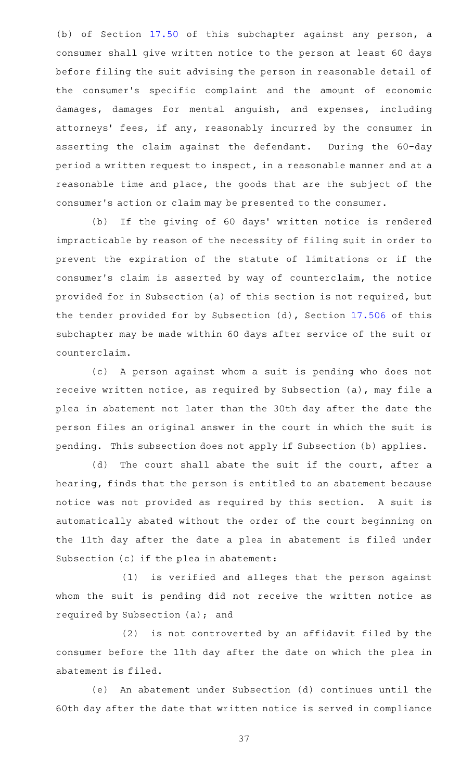(b) of Section [17.50](http://www.statutes.legis.state.tx.us/GetStatute.aspx?Code=BC&Value=17.50) of this subchapter against any person, a consumer shall give written notice to the person at least 60 days before filing the suit advising the person in reasonable detail of the consumer 's specific complaint and the amount of economic damages, damages for mental anguish, and expenses, including attorneys' fees, if any, reasonably incurred by the consumer in asserting the claim against the defendant. During the 60-day period a written request to inspect, in a reasonable manner and at a reasonable time and place, the goods that are the subject of the consumer 's action or claim may be presented to the consumer.

(b) If the giving of 60 days' written notice is rendered impracticable by reason of the necessity of filing suit in order to prevent the expiration of the statute of limitations or if the consumer 's claim is asserted by way of counterclaim, the notice provided for in Subsection (a) of this section is not required, but the tender provided for by Subsection (d), Section [17.506](http://www.statutes.legis.state.tx.us/GetStatute.aspx?Code=BC&Value=17.506) of this subchapter may be made within 60 days after service of the suit or counterclaim.

(c)AAA person against whom a suit is pending who does not receive written notice, as required by Subsection (a), may file a plea in abatement not later than the 30th day after the date the person files an original answer in the court in which the suit is pending. This subsection does not apply if Subsection (b) applies.

(d) The court shall abate the suit if the court, after a hearing, finds that the person is entitled to an abatement because notice was not provided as required by this section. A suit is automatically abated without the order of the court beginning on the 11th day after the date a plea in abatement is filed under Subsection (c) if the plea in abatement:

(1) is verified and alleges that the person against whom the suit is pending did not receive the written notice as required by Subsection (a); and

(2) is not controverted by an affidavit filed by the consumer before the 11th day after the date on which the plea in abatement is filed.

(e) An abatement under Subsection (d) continues until the 60th day after the date that written notice is served in compliance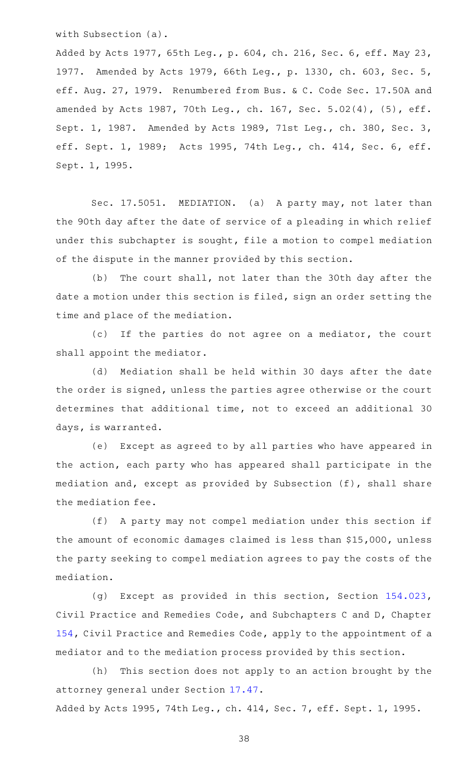with Subsection (a).

Added by Acts 1977, 65th Leg., p. 604, ch. 216, Sec. 6, eff. May 23, 1977. Amended by Acts 1979, 66th Leg., p. 1330, ch. 603, Sec. 5, eff. Aug. 27, 1979. Renumbered from Bus. & C. Code Sec. 17.50A and amended by Acts 1987, 70th Leg., ch. 167, Sec. 5.02(4), (5), eff. Sept. 1, 1987. Amended by Acts 1989, 71st Leg., ch. 380, Sec. 3, eff. Sept. 1, 1989; Acts 1995, 74th Leg., ch. 414, Sec. 6, eff. Sept. 1, 1995.

Sec. 17.5051. MEDIATION. (a) A party may, not later than the 90th day after the date of service of a pleading in which relief under this subchapter is sought, file a motion to compel mediation of the dispute in the manner provided by this section.

(b) The court shall, not later than the 30th day after the date a motion under this section is filed, sign an order setting the time and place of the mediation.

(c) If the parties do not agree on a mediator, the court shall appoint the mediator.

(d) Mediation shall be held within 30 days after the date the order is signed, unless the parties agree otherwise or the court determines that additional time, not to exceed an additional 30 days, is warranted.

(e) Except as agreed to by all parties who have appeared in the action, each party who has appeared shall participate in the mediation and, except as provided by Subsection (f), shall share the mediation fee.

(f) A party may not compel mediation under this section if the amount of economic damages claimed is less than \$15,000, unless the party seeking to compel mediation agrees to pay the costs of the mediation.

(g) Except as provided in this section, Section [154.023](http://www.statutes.legis.state.tx.us/GetStatute.aspx?Code=CP&Value=154.023), Civil Practice and Remedies Code, and Subchapters C and D, Chapter [154,](http://www.statutes.legis.state.tx.us/GetStatute.aspx?Code=CP&Value=154) Civil Practice and Remedies Code, apply to the appointment of a mediator and to the mediation process provided by this section.

(h) This section does not apply to an action brought by the attorney general under Section [17.47.](http://www.statutes.legis.state.tx.us/GetStatute.aspx?Code=BC&Value=17.47) Added by Acts 1995, 74th Leg., ch. 414, Sec. 7, eff. Sept. 1, 1995.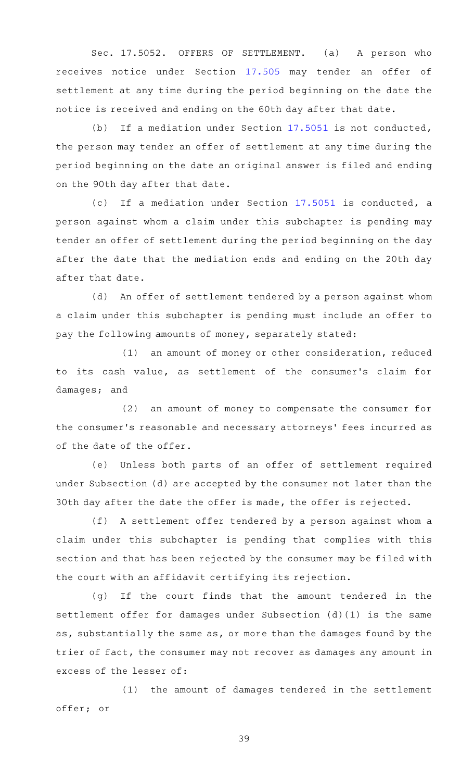Sec. 17.5052. OFFERS OF SETTLEMENT. (a) A person who receives notice under Section [17.505](http://www.statutes.legis.state.tx.us/GetStatute.aspx?Code=BC&Value=17.505) may tender an offer of settlement at any time during the period beginning on the date the notice is received and ending on the 60th day after that date.

(b) If a mediation under Section  $17.5051$  is not conducted, the person may tender an offer of settlement at any time during the period beginning on the date an original answer is filed and ending on the 90th day after that date.

(c) If a mediation under Section [17.5051](http://www.statutes.legis.state.tx.us/GetStatute.aspx?Code=BC&Value=17.5051) is conducted, a person against whom a claim under this subchapter is pending may tender an offer of settlement during the period beginning on the day after the date that the mediation ends and ending on the 20th day after that date.

(d) An offer of settlement tendered by a person against whom a claim under this subchapter is pending must include an offer to pay the following amounts of money, separately stated:

 $(1)$  an amount of money or other consideration, reduced to its cash value, as settlement of the consumer 's claim for damages; and

(2) an amount of money to compensate the consumer for the consumer 's reasonable and necessary attorneys ' fees incurred as of the date of the offer.

(e) Unless both parts of an offer of settlement required under Subsection (d) are accepted by the consumer not later than the 30th day after the date the offer is made, the offer is rejected.

(f) A settlement offer tendered by a person against whom a claim under this subchapter is pending that complies with this section and that has been rejected by the consumer may be filed with the court with an affidavit certifying its rejection.

(g) If the court finds that the amount tendered in the settlement offer for damages under Subsection (d)(1) is the same as, substantially the same as, or more than the damages found by the trier of fact, the consumer may not recover as damages any amount in excess of the lesser of:

(1) the amount of damages tendered in the settlement offer; or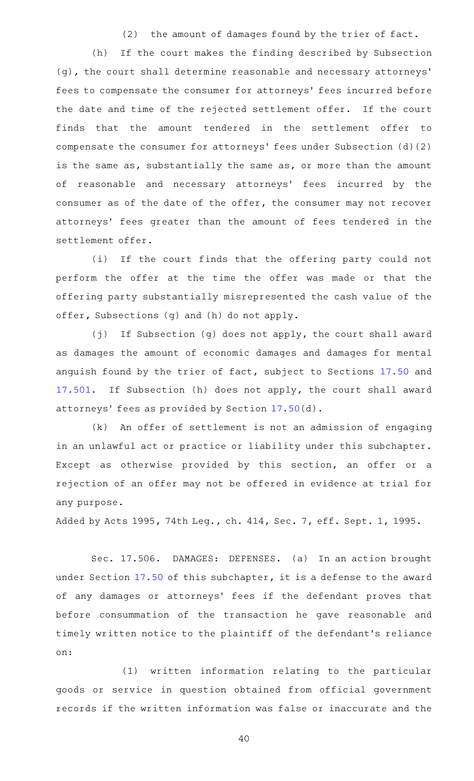(2) the amount of damages found by the trier of fact.

(h) If the court makes the finding described by Subsection (g), the court shall determine reasonable and necessary attorneys ' fees to compensate the consumer for attorneys' fees incurred before the date and time of the rejected settlement offer. If the court finds that the amount tendered in the settlement offer to compensate the consumer for attorneys' fees under Subsection (d)(2) is the same as, substantially the same as, or more than the amount of reasonable and necessary attorneys' fees incurred by the consumer as of the date of the offer, the consumer may not recover attorneys' fees greater than the amount of fees tendered in the settlement offer.

(i) If the court finds that the offering party could not perform the offer at the time the offer was made or that the offering party substantially misrepresented the cash value of the offer, Subsections (g) and (h) do not apply.

(j) If Subsection (g) does not apply, the court shall award as damages the amount of economic damages and damages for mental anguish found by the trier of fact, subject to Sections [17.50](http://www.statutes.legis.state.tx.us/GetStatute.aspx?Code=BC&Value=17.50) and [17.501](http://www.statutes.legis.state.tx.us/GetStatute.aspx?Code=BC&Value=17.501). If Subsection (h) does not apply, the court shall award attorneys' fees as provided by Section [17.50](http://www.statutes.legis.state.tx.us/GetStatute.aspx?Code=BC&Value=17.50)(d).

 $(k)$  An offer of settlement is not an admission of engaging in an unlawful act or practice or liability under this subchapter. Except as otherwise provided by this section, an offer or a rejection of an offer may not be offered in evidence at trial for any purpose.

Added by Acts 1995, 74th Leg., ch. 414, Sec. 7, eff. Sept. 1, 1995.

Sec. 17.506. DAMAGES: DEFENSES. (a) In an action brought under Section [17.50](http://www.statutes.legis.state.tx.us/GetStatute.aspx?Code=BC&Value=17.50) of this subchapter, it is a defense to the award of any damages or attorneys' fees if the defendant proves that before consummation of the transaction he gave reasonable and timely written notice to the plaintiff of the defendant 's reliance on:

(1) written information relating to the particular goods or service in question obtained from official government records if the written information was false or inaccurate and the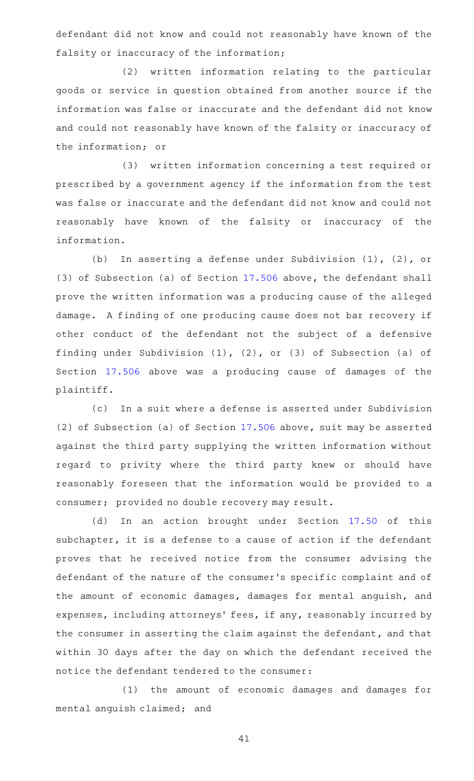defendant did not know and could not reasonably have known of the falsity or inaccuracy of the information;

(2) written information relating to the particular goods or service in question obtained from another source if the information was false or inaccurate and the defendant did not know and could not reasonably have known of the falsity or inaccuracy of the information; or

(3) written information concerning a test required or prescribed by a government agency if the information from the test was false or inaccurate and the defendant did not know and could not reasonably have known of the falsity or inaccuracy of the information.

(b) In asserting a defense under Subdivision  $(1)$ ,  $(2)$ , or (3) of Subsection (a) of Section [17.506](http://www.statutes.legis.state.tx.us/GetStatute.aspx?Code=BC&Value=17.506) above, the defendant shall prove the written information was a producing cause of the alleged damage. A finding of one producing cause does not bar recovery if other conduct of the defendant not the subject of a defensive finding under Subdivision (1), (2), or (3) of Subsection (a) of Section [17.506](http://www.statutes.legis.state.tx.us/GetStatute.aspx?Code=BC&Value=17.506) above was a producing cause of damages of the plaintiff.

(c) In a suit where a defense is asserted under Subdivision (2) of Subsection (a) of Section [17.506](http://www.statutes.legis.state.tx.us/GetStatute.aspx?Code=BC&Value=17.506) above, suit may be asserted against the third party supplying the written information without regard to privity where the third party knew or should have reasonably foreseen that the information would be provided to a consumer; provided no double recovery may result.

(d) In an action brought under Section [17.50](http://www.statutes.legis.state.tx.us/GetStatute.aspx?Code=BC&Value=17.50) of this subchapter, it is a defense to a cause of action if the defendant proves that he received notice from the consumer advising the defendant of the nature of the consumer 's specific complaint and of the amount of economic damages, damages for mental anguish, and expenses, including attorneys' fees, if any, reasonably incurred by the consumer in asserting the claim against the defendant, and that within 30 days after the day on which the defendant received the notice the defendant tendered to the consumer:

(1) the amount of economic damages and damages for mental anguish claimed; and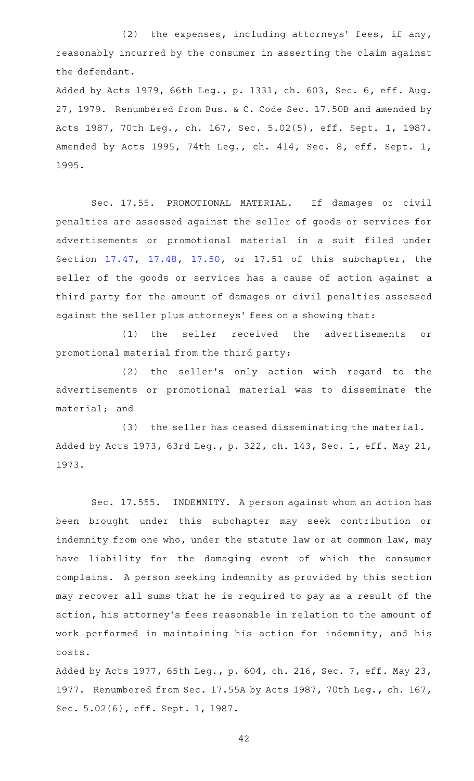(2) the expenses, including attorneys' fees, if any, reasonably incurred by the consumer in asserting the claim against the defendant.

Added by Acts 1979, 66th Leg., p. 1331, ch. 603, Sec. 6, eff. Aug. 27, 1979. Renumbered from Bus. & C. Code Sec. 17.50B and amended by Acts 1987, 70th Leg., ch. 167, Sec. 5.02(5), eff. Sept. 1, 1987. Amended by Acts 1995, 74th Leg., ch. 414, Sec. 8, eff. Sept. 1, 1995.

Sec. 17.55. PROMOTIONAL MATERIAL. If damages or civil penalties are assessed against the seller of goods or services for advertisements or promotional material in a suit filed under Section [17.47,](http://www.statutes.legis.state.tx.us/GetStatute.aspx?Code=BC&Value=17.47) [17.48,](http://www.statutes.legis.state.tx.us/GetStatute.aspx?Code=BC&Value=17.48) [17.50](http://www.statutes.legis.state.tx.us/GetStatute.aspx?Code=BC&Value=17.50), or 17.51 of this subchapter, the seller of the goods or services has a cause of action against a third party for the amount of damages or civil penalties assessed against the seller plus attorneys' fees on a showing that:

(1) the seller received the advertisements or promotional material from the third party;

(2) the seller's only action with regard to the advertisements or promotional material was to disseminate the material; and

(3) the seller has ceased disseminating the material. Added by Acts 1973, 63rd Leg., p. 322, ch. 143, Sec. 1, eff. May 21, 1973.

Sec. 17.555. INDEMNITY. A person against whom an action has been brought under this subchapter may seek contribution or indemnity from one who, under the statute law or at common law, may have liability for the damaging event of which the consumer complains. A person seeking indemnity as provided by this section may recover all sums that he is required to pay as a result of the action, his attorney 's fees reasonable in relation to the amount of work performed in maintaining his action for indemnity, and his costs.

Added by Acts 1977, 65th Leg., p. 604, ch. 216, Sec. 7, eff. May 23, 1977. Renumbered from Sec. 17.55A by Acts 1987, 70th Leg., ch. 167, Sec. 5.02(6), eff. Sept. 1, 1987.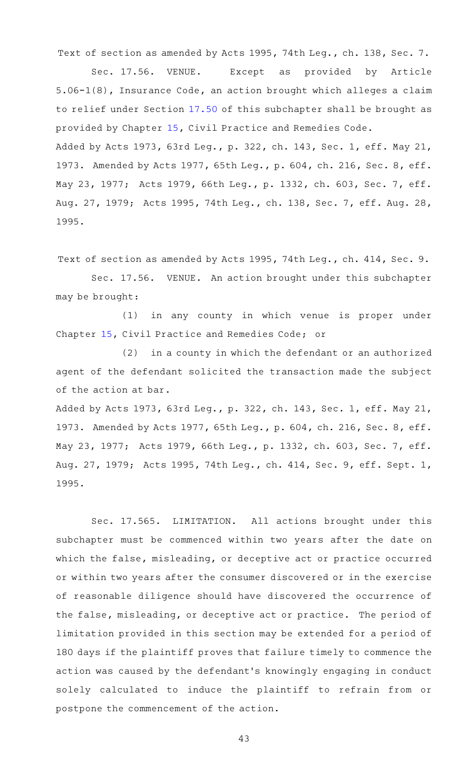Text of section as amended by Acts 1995, 74th Leg., ch. 138, Sec. 7.

Sec. 17.56. VENUE. Except as provided by Article 5.06-1(8), Insurance Code, an action brought which alleges a claim to relief under Section [17.50](http://www.statutes.legis.state.tx.us/GetStatute.aspx?Code=BC&Value=17.50) of this subchapter shall be brought as provided by Chapter [15,](http://www.statutes.legis.state.tx.us/GetStatute.aspx?Code=CP&Value=15) Civil Practice and Remedies Code. Added by Acts 1973, 63rd Leg., p. 322, ch. 143, Sec. 1, eff. May 21, 1973. Amended by Acts 1977, 65th Leg., p. 604, ch. 216, Sec. 8, eff. May 23, 1977; Acts 1979, 66th Leg., p. 1332, ch. 603, Sec. 7, eff.

Aug. 27, 1979; Acts 1995, 74th Leg., ch. 138, Sec. 7, eff. Aug. 28, 1995.

Text of section as amended by Acts 1995, 74th Leg., ch. 414, Sec. 9.

Sec. 17.56. VENUE. An action brought under this subchapter may be brought:

(1) in any county in which venue is proper under Chapter [15,](http://www.statutes.legis.state.tx.us/GetStatute.aspx?Code=CP&Value=15) Civil Practice and Remedies Code; or

 $(2)$  in a county in which the defendant or an authorized agent of the defendant solicited the transaction made the subject of the action at bar.

Added by Acts 1973, 63rd Leg., p. 322, ch. 143, Sec. 1, eff. May 21, 1973. Amended by Acts 1977, 65th Leg., p. 604, ch. 216, Sec. 8, eff. May 23, 1977; Acts 1979, 66th Leg., p. 1332, ch. 603, Sec. 7, eff. Aug. 27, 1979; Acts 1995, 74th Leg., ch. 414, Sec. 9, eff. Sept. 1, 1995.

Sec. 17.565. LIMITATION. All actions brought under this subchapter must be commenced within two years after the date on which the false, misleading, or deceptive act or practice occurred or within two years after the consumer discovered or in the exercise of reasonable diligence should have discovered the occurrence of the false, misleading, or deceptive act or practice. The period of limitation provided in this section may be extended for a period of 180 days if the plaintiff proves that failure timely to commence the action was caused by the defendant 's knowingly engaging in conduct solely calculated to induce the plaintiff to refrain from or postpone the commencement of the action.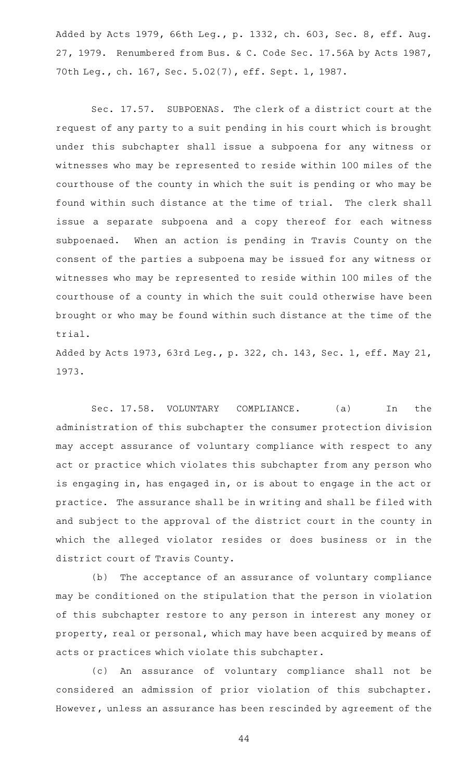Added by Acts 1979, 66th Leg., p. 1332, ch. 603, Sec. 8, eff. Aug. 27, 1979. Renumbered from Bus. & C. Code Sec. 17.56A by Acts 1987, 70th Leg., ch. 167, Sec. 5.02(7), eff. Sept. 1, 1987.

Sec. 17.57. SUBPOENAS. The clerk of a district court at the request of any party to a suit pending in his court which is brought under this subchapter shall issue a subpoena for any witness or witnesses who may be represented to reside within 100 miles of the courthouse of the county in which the suit is pending or who may be found within such distance at the time of trial. The clerk shall issue a separate subpoena and a copy thereof for each witness subpoenaed. When an action is pending in Travis County on the consent of the parties a subpoena may be issued for any witness or witnesses who may be represented to reside within 100 miles of the courthouse of a county in which the suit could otherwise have been brought or who may be found within such distance at the time of the trial.

Added by Acts 1973, 63rd Leg., p. 322, ch. 143, Sec. 1, eff. May 21, 1973.

Sec. 17.58. VOLUNTARY COMPLIANCE. (a) In the administration of this subchapter the consumer protection division may accept assurance of voluntary compliance with respect to any act or practice which violates this subchapter from any person who is engaging in, has engaged in, or is about to engage in the act or practice. The assurance shall be in writing and shall be filed with and subject to the approval of the district court in the county in which the alleged violator resides or does business or in the district court of Travis County.

(b) The acceptance of an assurance of voluntary compliance may be conditioned on the stipulation that the person in violation of this subchapter restore to any person in interest any money or property, real or personal, which may have been acquired by means of acts or practices which violate this subchapter.

(c) An assurance of voluntary compliance shall not be considered an admission of prior violation of this subchapter. However, unless an assurance has been rescinded by agreement of the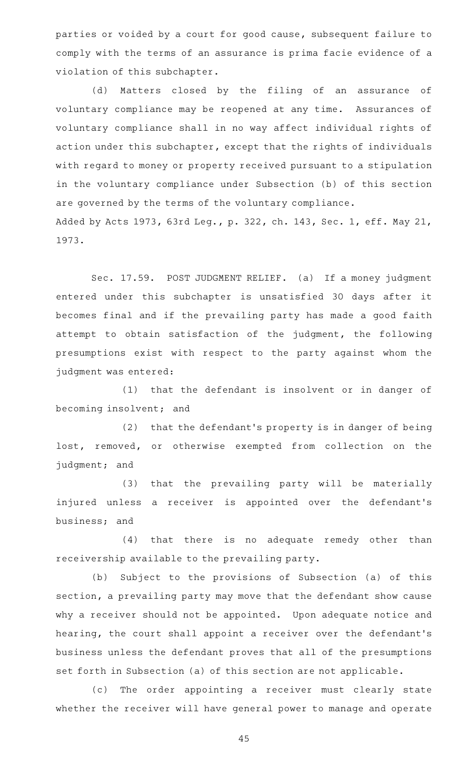parties or voided by a court for good cause, subsequent failure to comply with the terms of an assurance is prima facie evidence of a violation of this subchapter.

(d) Matters closed by the filing of an assurance of voluntary compliance may be reopened at any time. Assurances of voluntary compliance shall in no way affect individual rights of action under this subchapter, except that the rights of individuals with regard to money or property received pursuant to a stipulation in the voluntary compliance under Subsection (b) of this section are governed by the terms of the voluntary compliance. Added by Acts 1973, 63rd Leg., p. 322, ch. 143, Sec. 1, eff. May 21, 1973.

Sec. 17.59. POST JUDGMENT RELIEF. (a) If a money judgment entered under this subchapter is unsatisfied 30 days after it becomes final and if the prevailing party has made a good faith attempt to obtain satisfaction of the judgment, the following presumptions exist with respect to the party against whom the judgment was entered:

(1) that the defendant is insolvent or in danger of becoming insolvent; and

(2) that the defendant's property is in danger of being lost, removed, or otherwise exempted from collection on the judgment; and

(3) that the prevailing party will be materially injured unless a receiver is appointed over the defendant 's business; and

(4) that there is no adequate remedy other than receivership available to the prevailing party.

(b) Subject to the provisions of Subsection (a) of this section, a prevailing party may move that the defendant show cause why a receiver should not be appointed. Upon adequate notice and hearing, the court shall appoint a receiver over the defendant 's business unless the defendant proves that all of the presumptions set forth in Subsection (a) of this section are not applicable.

(c) The order appointing a receiver must clearly state whether the receiver will have general power to manage and operate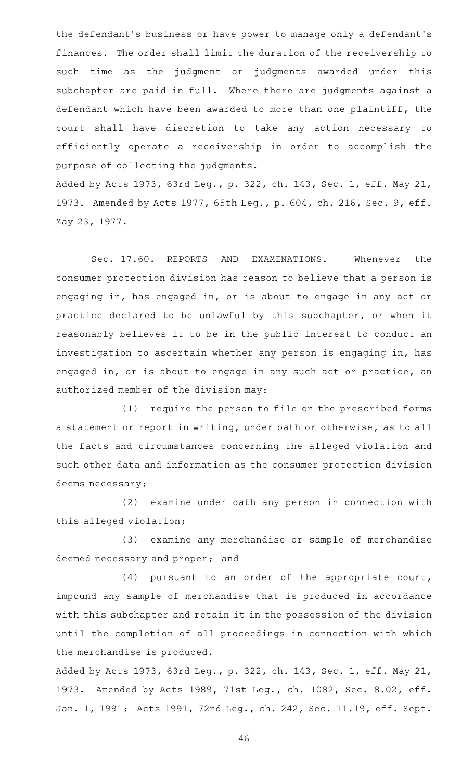the defendant 's business or have power to manage only a defendant 's finances. The order shall limit the duration of the receivership to such time as the judgment or judgments awarded under this subchapter are paid in full. Where there are judgments against a defendant which have been awarded to more than one plaintiff, the court shall have discretion to take any action necessary to efficiently operate a receivership in order to accomplish the purpose of collecting the judgments.

Added by Acts 1973, 63rd Leg., p. 322, ch. 143, Sec. 1, eff. May 21, 1973. Amended by Acts 1977, 65th Leg., p. 604, ch. 216, Sec. 9, eff. May 23, 1977.

Sec. 17.60. REPORTS AND EXAMINATIONS. Whenever the consumer protection division has reason to believe that a person is engaging in, has engaged in, or is about to engage in any act or practice declared to be unlawful by this subchapter, or when it reasonably believes it to be in the public interest to conduct an investigation to ascertain whether any person is engaging in, has engaged in, or is about to engage in any such act or practice, an authorized member of the division may:

(1) require the person to file on the prescribed forms a statement or report in writing, under oath or otherwise, as to all the facts and circumstances concerning the alleged violation and such other data and information as the consumer protection division deems necessary;

(2) examine under oath any person in connection with this alleged violation;

(3) examine any merchandise or sample of merchandise deemed necessary and proper; and

 $(4)$  pursuant to an order of the appropriate court, impound any sample of merchandise that is produced in accordance with this subchapter and retain it in the possession of the division until the completion of all proceedings in connection with which the merchandise is produced.

Added by Acts 1973, 63rd Leg., p. 322, ch. 143, Sec. 1, eff. May 21, 1973. Amended by Acts 1989, 71st Leg., ch. 1082, Sec. 8.02, eff. Jan. 1, 1991; Acts 1991, 72nd Leg., ch. 242, Sec. 11.19, eff. Sept.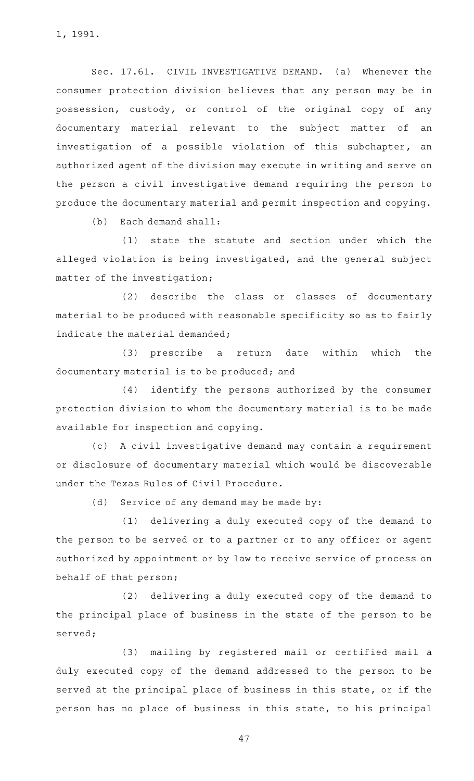1, 1991.

Sec. 17.61. CIVIL INVESTIGATIVE DEMAND. (a) Whenever the consumer protection division believes that any person may be in possession, custody, or control of the original copy of any documentary material relevant to the subject matter of an investigation of a possible violation of this subchapter, an authorized agent of the division may execute in writing and serve on the person a civil investigative demand requiring the person to produce the documentary material and permit inspection and copying.

 $(b)$  Each demand shall:

(1) state the statute and section under which the alleged violation is being investigated, and the general subject matter of the investigation;

(2) describe the class or classes of documentary material to be produced with reasonable specificity so as to fairly indicate the material demanded;

(3) prescribe a return date within which the documentary material is to be produced; and

 $(4)$  identify the persons authorized by the consumer protection division to whom the documentary material is to be made available for inspection and copying.

(c) A civil investigative demand may contain a requirement or disclosure of documentary material which would be discoverable under the Texas Rules of Civil Procedure.

 $(d)$  Service of any demand may be made by:

(1) delivering a duly executed copy of the demand to the person to be served or to a partner or to any officer or agent authorized by appointment or by law to receive service of process on behalf of that person;

(2) delivering a duly executed copy of the demand to the principal place of business in the state of the person to be served;

(3) mailing by registered mail or certified mail a duly executed copy of the demand addressed to the person to be served at the principal place of business in this state, or if the person has no place of business in this state, to his principal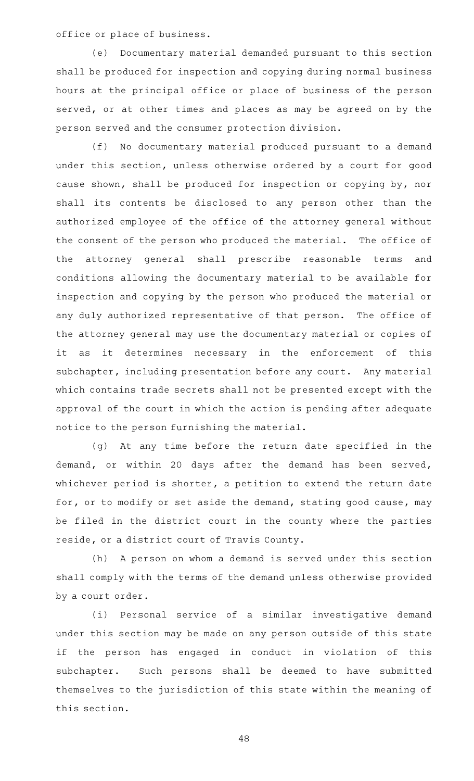office or place of business.

(e) Documentary material demanded pursuant to this section shall be produced for inspection and copying during normal business hours at the principal office or place of business of the person served, or at other times and places as may be agreed on by the person served and the consumer protection division.

(f) No documentary material produced pursuant to a demand under this section, unless otherwise ordered by a court for good cause shown, shall be produced for inspection or copying by, nor shall its contents be disclosed to any person other than the authorized employee of the office of the attorney general without the consent of the person who produced the material. The office of the attorney general shall prescribe reasonable terms and conditions allowing the documentary material to be available for inspection and copying by the person who produced the material or any duly authorized representative of that person. The office of the attorney general may use the documentary material or copies of it as it determines necessary in the enforcement of this subchapter, including presentation before any court. Any material which contains trade secrets shall not be presented except with the approval of the court in which the action is pending after adequate notice to the person furnishing the material.

(g) At any time before the return date specified in the demand, or within 20 days after the demand has been served, whichever period is shorter, a petition to extend the return date for, or to modify or set aside the demand, stating good cause, may be filed in the district court in the county where the parties reside, or a district court of Travis County.

(h) A person on whom a demand is served under this section shall comply with the terms of the demand unless otherwise provided by a court order.

(i) Personal service of a similar investigative demand under this section may be made on any person outside of this state if the person has engaged in conduct in violation of this subchapter. Such persons shall be deemed to have submitted themselves to the jurisdiction of this state within the meaning of this section.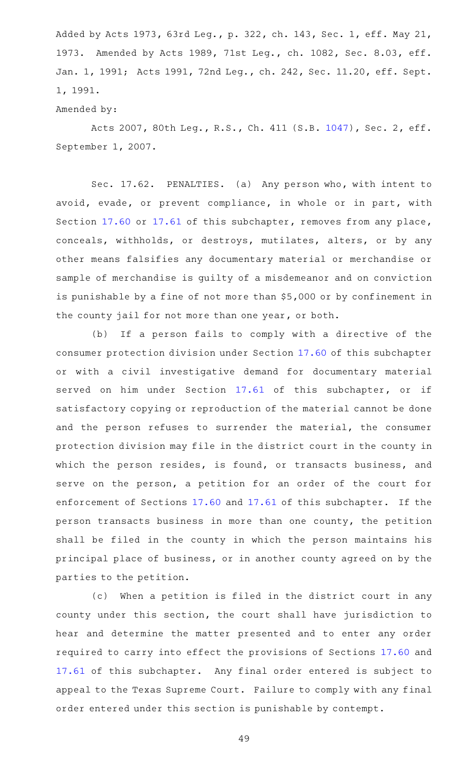Added by Acts 1973, 63rd Leg., p. 322, ch. 143, Sec. 1, eff. May 21, 1973. Amended by Acts 1989, 71st Leg., ch. 1082, Sec. 8.03, eff. Jan. 1, 1991; Acts 1991, 72nd Leg., ch. 242, Sec. 11.20, eff. Sept. 1, 1991.

Amended by:

Acts 2007, 80th Leg., R.S., Ch. 411 (S.B. [1047](http://www.legis.state.tx.us/tlodocs/80R/billtext/html/SB01047F.HTM)), Sec. 2, eff. September 1, 2007.

Sec. 17.62. PENALTIES. (a) Any person who, with intent to avoid, evade, or prevent compliance, in whole or in part, with Section [17.60](http://www.statutes.legis.state.tx.us/GetStatute.aspx?Code=BC&Value=17.60) or [17.61](http://www.statutes.legis.state.tx.us/GetStatute.aspx?Code=BC&Value=17.61) of this subchapter, removes from any place, conceals, withholds, or destroys, mutilates, alters, or by any other means falsifies any documentary material or merchandise or sample of merchandise is guilty of a misdemeanor and on conviction is punishable by a fine of not more than \$5,000 or by confinement in the county jail for not more than one year, or both.

(b) If a person fails to comply with a directive of the consumer protection division under Section [17.60](http://www.statutes.legis.state.tx.us/GetStatute.aspx?Code=BC&Value=17.60) of this subchapter or with a civil investigative demand for documentary material served on him under Section [17.61](http://www.statutes.legis.state.tx.us/GetStatute.aspx?Code=BC&Value=17.61) of this subchapter, or if satisfactory copying or reproduction of the material cannot be done and the person refuses to surrender the material, the consumer protection division may file in the district court in the county in which the person resides, is found, or transacts business, and serve on the person, a petition for an order of the court for enforcement of Sections [17.60](http://www.statutes.legis.state.tx.us/GetStatute.aspx?Code=BC&Value=17.60) and [17.61](http://www.statutes.legis.state.tx.us/GetStatute.aspx?Code=BC&Value=17.61) of this subchapter. If the person transacts business in more than one county, the petition shall be filed in the county in which the person maintains his principal place of business, or in another county agreed on by the parties to the petition.

(c) When a petition is filed in the district court in any county under this section, the court shall have jurisdiction to hear and determine the matter presented and to enter any order required to carry into effect the provisions of Sections [17.60](http://www.statutes.legis.state.tx.us/GetStatute.aspx?Code=BC&Value=17.60) and [17.61](http://www.statutes.legis.state.tx.us/GetStatute.aspx?Code=BC&Value=17.61) of this subchapter. Any final order entered is subject to appeal to the Texas Supreme Court. Failure to comply with any final order entered under this section is punishable by contempt.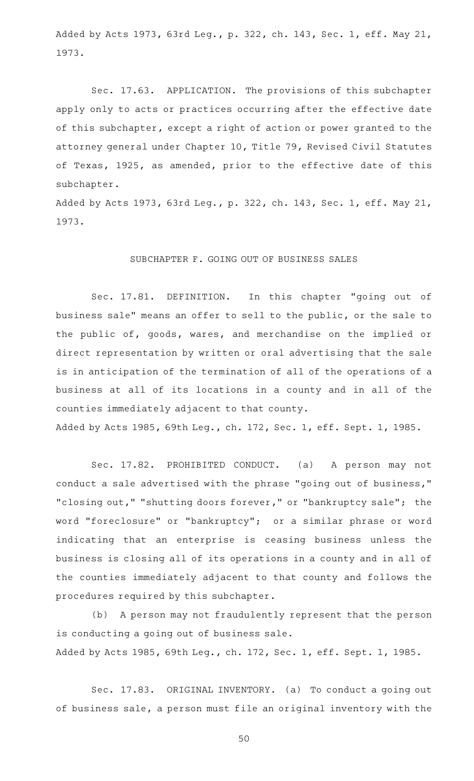Added by Acts 1973, 63rd Leg., p. 322, ch. 143, Sec. 1, eff. May 21, 1973.

Sec. 17.63. APPLICATION. The provisions of this subchapter apply only to acts or practices occurring after the effective date of this subchapter, except a right of action or power granted to the attorney general under Chapter 10, Title 79, Revised Civil Statutes of Texas, 1925, as amended, prior to the effective date of this subchapter.

Added by Acts 1973, 63rd Leg., p. 322, ch. 143, Sec. 1, eff. May 21, 1973.

### SUBCHAPTER F. GOING OUT OF BUSINESS SALES

Sec. 17.81. DEFINITION. In this chapter "going out of business sale" means an offer to sell to the public, or the sale to the public of, goods, wares, and merchandise on the implied or direct representation by written or oral advertising that the sale is in anticipation of the termination of all of the operations of a business at all of its locations in a county and in all of the counties immediately adjacent to that county.

Added by Acts 1985, 69th Leg., ch. 172, Sec. 1, eff. Sept. 1, 1985.

Sec. 17.82. PROHIBITED CONDUCT. (a) A person may not conduct a sale advertised with the phrase "going out of business," "closing out," "shutting doors forever," or "bankruptcy sale"; the word "foreclosure" or "bankruptcy"; or a similar phrase or word indicating that an enterprise is ceasing business unless the business is closing all of its operations in a county and in all of the counties immediately adjacent to that county and follows the procedures required by this subchapter.

(b) A person may not fraudulently represent that the person is conducting a going out of business sale. Added by Acts 1985, 69th Leg., ch. 172, Sec. 1, eff. Sept. 1, 1985.

Sec. 17.83. ORIGINAL INVENTORY. (a) To conduct a going out of business sale, a person must file an original inventory with the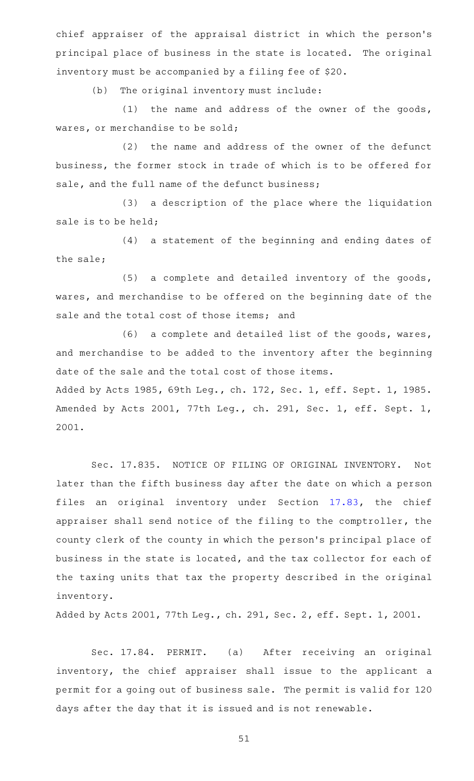chief appraiser of the appraisal district in which the person 's principal place of business in the state is located. The original inventory must be accompanied by a filing fee of \$20.

(b) The original inventory must include:

 $(1)$  the name and address of the owner of the goods, wares, or merchandise to be sold;

(2) the name and address of the owner of the defunct business, the former stock in trade of which is to be offered for sale, and the full name of the defunct business;

(3) a description of the place where the liquidation sale is to be held;

(4) a statement of the beginning and ending dates of the sale;

 $(5)$  a complete and detailed inventory of the goods, wares, and merchandise to be offered on the beginning date of the sale and the total cost of those items; and

(6) a complete and detailed list of the goods, wares, and merchandise to be added to the inventory after the beginning date of the sale and the total cost of those items.

Added by Acts 1985, 69th Leg., ch. 172, Sec. 1, eff. Sept. 1, 1985. Amended by Acts 2001, 77th Leg., ch. 291, Sec. 1, eff. Sept. 1, 2001.

Sec. 17.835. NOTICE OF FILING OF ORIGINAL INVENTORY. Not later than the fifth business day after the date on which a person files an original inventory under Section [17.83,](http://www.statutes.legis.state.tx.us/GetStatute.aspx?Code=BC&Value=17.83) the chief appraiser shall send notice of the filing to the comptroller, the county clerk of the county in which the person 's principal place of business in the state is located, and the tax collector for each of the taxing units that tax the property described in the original inventory.

Added by Acts 2001, 77th Leg., ch. 291, Sec. 2, eff. Sept. 1, 2001.

Sec. 17.84. PERMIT. (a) After receiving an original inventory, the chief appraiser shall issue to the applicant a permit for a going out of business sale. The permit is valid for 120 days after the day that it is issued and is not renewable.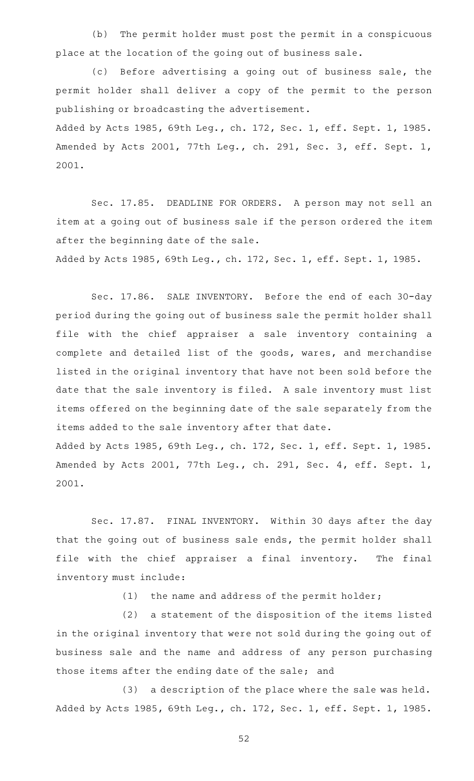(b) The permit holder must post the permit in a conspicuous place at the location of the going out of business sale.

(c) Before advertising a going out of business sale, the permit holder shall deliver a copy of the permit to the person publishing or broadcasting the advertisement.

Added by Acts 1985, 69th Leg., ch. 172, Sec. 1, eff. Sept. 1, 1985. Amended by Acts 2001, 77th Leg., ch. 291, Sec. 3, eff. Sept. 1, 2001.

Sec. 17.85. DEADLINE FOR ORDERS. A person may not sell an item at a going out of business sale if the person ordered the item after the beginning date of the sale.

Added by Acts 1985, 69th Leg., ch. 172, Sec. 1, eff. Sept. 1, 1985.

Sec. 17.86. SALE INVENTORY. Before the end of each 30-day period during the going out of business sale the permit holder shall file with the chief appraiser a sale inventory containing a complete and detailed list of the goods, wares, and merchandise listed in the original inventory that have not been sold before the date that the sale inventory is filed. A sale inventory must list items offered on the beginning date of the sale separately from the items added to the sale inventory after that date. Added by Acts 1985, 69th Leg., ch. 172, Sec. 1, eff. Sept. 1, 1985.

Amended by Acts 2001, 77th Leg., ch. 291, Sec. 4, eff. Sept. 1, 2001.

Sec. 17.87. FINAL INVENTORY. Within 30 days after the day that the going out of business sale ends, the permit holder shall file with the chief appraiser a final inventory. The final inventory must include:

(1) the name and address of the permit holder;

(2) a statement of the disposition of the items listed in the original inventory that were not sold during the going out of business sale and the name and address of any person purchasing those items after the ending date of the sale; and

(3) a description of the place where the sale was held. Added by Acts 1985, 69th Leg., ch. 172, Sec. 1, eff. Sept. 1, 1985.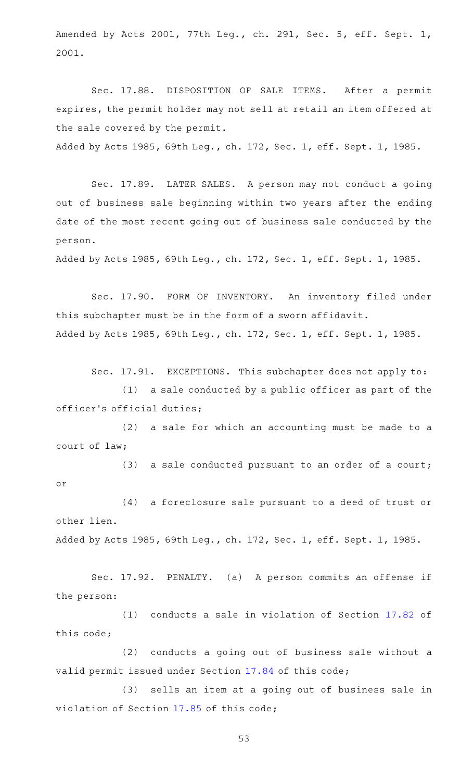Amended by Acts 2001, 77th Leg., ch. 291, Sec. 5, eff. Sept. 1, 2001.

Sec. 17.88. DISPOSITION OF SALE ITEMS. After a permit expires, the permit holder may not sell at retail an item offered at the sale covered by the permit.

Added by Acts 1985, 69th Leg., ch. 172, Sec. 1, eff. Sept. 1, 1985.

Sec. 17.89. LATER SALES. A person may not conduct a going out of business sale beginning within two years after the ending date of the most recent going out of business sale conducted by the person.

Added by Acts 1985, 69th Leg., ch. 172, Sec. 1, eff. Sept. 1, 1985.

Sec. 17.90. FORM OF INVENTORY. An inventory filed under this subchapter must be in the form of a sworn affidavit. Added by Acts 1985, 69th Leg., ch. 172, Sec. 1, eff. Sept. 1, 1985.

Sec. 17.91. EXCEPTIONS. This subchapter does not apply to:

 $(1)$  a sale conducted by a public officer as part of the officer 's official duties;

(2) a sale for which an accounting must be made to a court of law;

(3) a sale conducted pursuant to an order of a court; or

(4) a foreclosure sale pursuant to a deed of trust or other lien.

Added by Acts 1985, 69th Leg., ch. 172, Sec. 1, eff. Sept. 1, 1985.

Sec. 17.92. PENALTY. (a) A person commits an offense if the person:

(1) conducts a sale in violation of Section  $17.82$  of this code;

(2) conducts a going out of business sale without a valid permit issued under Section [17.84](http://www.statutes.legis.state.tx.us/GetStatute.aspx?Code=BC&Value=17.84) of this code;

(3) sells an item at a going out of business sale in violation of Section [17.85](http://www.statutes.legis.state.tx.us/GetStatute.aspx?Code=BC&Value=17.85) of this code;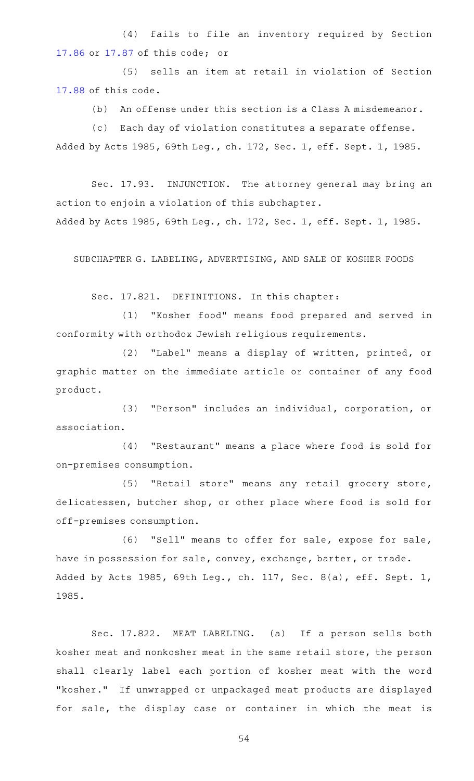(4) fails to file an inventory required by Section [17.86](http://www.statutes.legis.state.tx.us/GetStatute.aspx?Code=BC&Value=17.86) or [17.87](http://www.statutes.legis.state.tx.us/GetStatute.aspx?Code=BC&Value=17.87) of this code; or

(5) sells an item at retail in violation of Section [17.88](http://www.statutes.legis.state.tx.us/GetStatute.aspx?Code=BC&Value=17.88) of this code.

 $(b)$  An offense under this section is a Class A misdemeanor.

(c) Each day of violation constitutes a separate offense. Added by Acts 1985, 69th Leg., ch. 172, Sec. 1, eff. Sept. 1, 1985.

Sec. 17.93. INJUNCTION. The attorney general may bring an action to enjoin a violation of this subchapter.

Added by Acts 1985, 69th Leg., ch. 172, Sec. 1, eff. Sept. 1, 1985.

SUBCHAPTER G. LABELING, ADVERTISING, AND SALE OF KOSHER FOODS

Sec. 17.821. DEFINITIONS. In this chapter:

(1) "Kosher food" means food prepared and served in conformity with orthodox Jewish religious requirements.

(2) "Label" means a display of written, printed, or graphic matter on the immediate article or container of any food product.

(3) "Person" includes an individual, corporation, or association.

(4) "Restaurant" means a place where food is sold for on-premises consumption.

(5) "Retail store" means any retail grocery store, delicatessen, butcher shop, or other place where food is sold for off-premises consumption.

(6) "Sell" means to offer for sale, expose for sale, have in possession for sale, convey, exchange, barter, or trade. Added by Acts 1985, 69th Leg., ch. 117, Sec. 8(a), eff. Sept. 1, 1985.

Sec. 17.822. MEAT LABELING. (a) If a person sells both kosher meat and nonkosher meat in the same retail store, the person shall clearly label each portion of kosher meat with the word "kosher." If unwrapped or unpackaged meat products are displayed for sale, the display case or container in which the meat is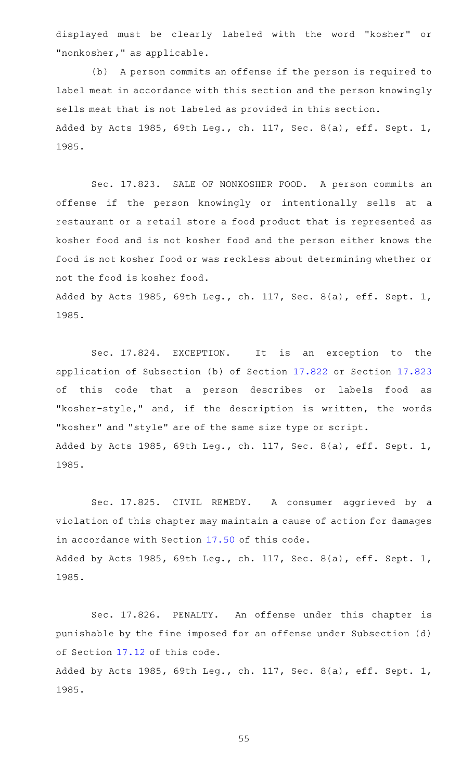displayed must be clearly labeled with the word "kosher" or "nonkosher," as applicable.

(b) A person commits an offense if the person is required to label meat in accordance with this section and the person knowingly sells meat that is not labeled as provided in this section. Added by Acts 1985, 69th Leg., ch. 117, Sec. 8(a), eff. Sept. 1, 1985.

Sec. 17.823. SALE OF NONKOSHER FOOD. A person commits an offense if the person knowingly or intentionally sells at a restaurant or a retail store a food product that is represented as kosher food and is not kosher food and the person either knows the food is not kosher food or was reckless about determining whether or not the food is kosher food.

Added by Acts 1985, 69th Leg., ch. 117, Sec. 8(a), eff. Sept. 1, 1985.

Sec. 17.824. EXCEPTION. It is an exception to the application of Subsection (b) of Section [17.822](http://www.statutes.legis.state.tx.us/GetStatute.aspx?Code=BC&Value=17.822) or Section [17.823](http://www.statutes.legis.state.tx.us/GetStatute.aspx?Code=BC&Value=17.823) of this code that a person describes or labels food as "kosher-style," and, if the description is written, the words "kosher" and "style" are of the same size type or script. Added by Acts 1985, 69th Leg., ch. 117, Sec. 8(a), eff. Sept. 1, 1985.

Sec. 17.825. CIVIL REMEDY. A consumer aggrieved by a violation of this chapter may maintain a cause of action for damages in accordance with Section [17.50](http://www.statutes.legis.state.tx.us/GetStatute.aspx?Code=BC&Value=17.50) of this code. Added by Acts 1985, 69th Leg., ch. 117, Sec. 8(a), eff. Sept. 1, 1985.

Sec. 17.826. PENALTY. An offense under this chapter is punishable by the fine imposed for an offense under Subsection (d) of Section [17.12](http://www.statutes.legis.state.tx.us/GetStatute.aspx?Code=BC&Value=17.12) of this code.

Added by Acts 1985, 69th Leg., ch. 117, Sec. 8(a), eff. Sept. 1, 1985.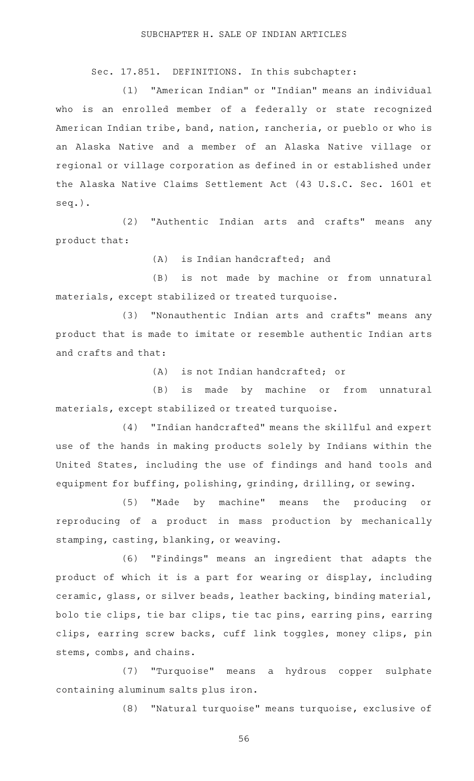### SUBCHAPTER H. SALE OF INDIAN ARTICLES

Sec. 17.851. DEFINITIONS. In this subchapter:

(1) "American Indian" or "Indian" means an individual who is an enrolled member of a federally or state recognized American Indian tribe, band, nation, rancheria, or pueblo or who is an Alaska Native and a member of an Alaska Native village or regional or village corporation as defined in or established under the Alaska Native Claims Settlement Act (43 U.S.C. Sec. 1601 et seq.).

(2) "Authentic Indian arts and crafts" means any product that:

 $(A)$  is Indian handcrafted; and

(B) is not made by machine or from unnatural materials, except stabilized or treated turquoise.

(3) "Nonauthentic Indian arts and crafts" means any product that is made to imitate or resemble authentic Indian arts and crafts and that:

(A) is not Indian handcrafted; or

(B) is made by machine or from unnatural materials, except stabilized or treated turquoise.

(4) "Indian handcrafted" means the skillful and expert use of the hands in making products solely by Indians within the United States, including the use of findings and hand tools and equipment for buffing, polishing, grinding, drilling, or sewing.

(5) "Made by machine" means the producing or reproducing of a product in mass production by mechanically stamping, casting, blanking, or weaving.

(6) "Findings" means an ingredient that adapts the product of which it is a part for wearing or display, including ceramic, glass, or silver beads, leather backing, binding material, bolo tie clips, tie bar clips, tie tac pins, earring pins, earring clips, earring screw backs, cuff link toggles, money clips, pin stems, combs, and chains.

(7) "Turquoise" means a hydrous copper sulphate containing aluminum salts plus iron.

(8) "Natural turquoise" means turquoise, exclusive of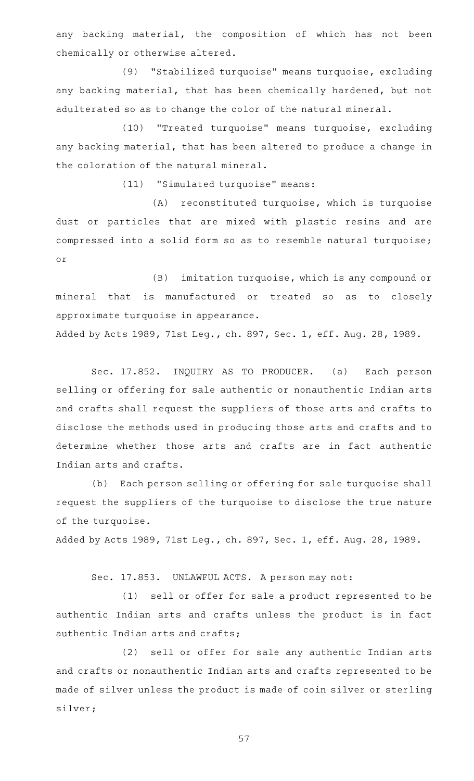any backing material, the composition of which has not been chemically or otherwise altered.

(9) "Stabilized turquoise" means turquoise, excluding any backing material, that has been chemically hardened, but not adulterated so as to change the color of the natural mineral.

(10) "Treated turquoise" means turquoise, excluding any backing material, that has been altered to produce a change in the coloration of the natural mineral.

 $(11)$  "Simulated turquoise" means:

 $(A)$  reconstituted turquoise, which is turquoise dust or particles that are mixed with plastic resins and are compressed into a solid form so as to resemble natural turquoise; or

 $(B)$  imitation turquoise, which is any compound or mineral that is manufactured or treated so as to closely approximate turquoise in appearance.

Added by Acts 1989, 71st Leg., ch. 897, Sec. 1, eff. Aug. 28, 1989.

Sec. 17.852. INQUIRY AS TO PRODUCER. (a) Each person selling or offering for sale authentic or nonauthentic Indian arts and crafts shall request the suppliers of those arts and crafts to disclose the methods used in producing those arts and crafts and to determine whether those arts and crafts are in fact authentic Indian arts and crafts.

(b) Each person selling or offering for sale turquoise shall request the suppliers of the turquoise to disclose the true nature of the turquoise.

Added by Acts 1989, 71st Leg., ch. 897, Sec. 1, eff. Aug. 28, 1989.

Sec. 17.853. UNLAWFUL ACTS. A person may not:

(1) sell or offer for sale a product represented to be authentic Indian arts and crafts unless the product is in fact authentic Indian arts and crafts;

(2) sell or offer for sale any authentic Indian arts and crafts or nonauthentic Indian arts and crafts represented to be made of silver unless the product is made of coin silver or sterling silver;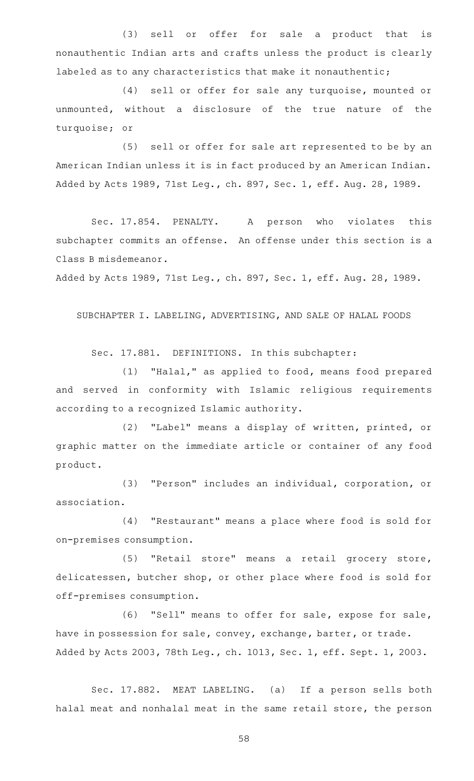(3) sell or offer for sale a product that is nonauthentic Indian arts and crafts unless the product is clearly labeled as to any characteristics that make it nonauthentic;

(4) sell or offer for sale any turquoise, mounted or unmounted, without a disclosure of the true nature of the turquoise; or

(5) sell or offer for sale art represented to be by an American Indian unless it is in fact produced by an American Indian. Added by Acts 1989, 71st Leg., ch. 897, Sec. 1, eff. Aug. 28, 1989.

Sec. 17.854. PENALTY. A person who violates this subchapter commits an offense. An offense under this section is a Class B misdemeanor. Added by Acts 1989, 71st Leg., ch. 897, Sec. 1, eff. Aug. 28, 1989.

SUBCHAPTER I. LABELING, ADVERTISING, AND SALE OF HALAL FOODS

Sec. 17.881. DEFINITIONS. In this subchapter:

(1) "Halal," as applied to food, means food prepared and served in conformity with Islamic religious requirements according to a recognized Islamic authority.

(2) "Label" means a display of written, printed, or graphic matter on the immediate article or container of any food product.

(3) "Person" includes an individual, corporation, or association.

(4) "Restaurant" means a place where food is sold for on-premises consumption.

(5) "Retail store" means a retail grocery store, delicatessen, butcher shop, or other place where food is sold for off-premises consumption.

(6) "Sell" means to offer for sale, expose for sale, have in possession for sale, convey, exchange, barter, or trade. Added by Acts 2003, 78th Leg., ch. 1013, Sec. 1, eff. Sept. 1, 2003.

Sec. 17.882. MEAT LABELING. (a) If a person sells both halal meat and nonhalal meat in the same retail store, the person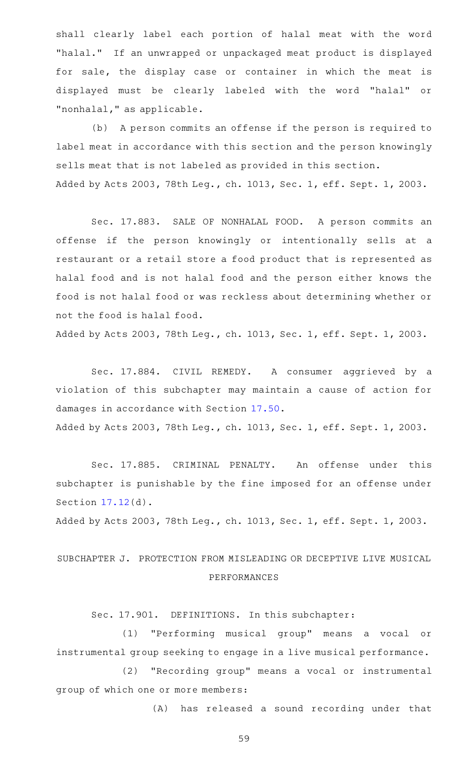shall clearly label each portion of halal meat with the word "halal." If an unwrapped or unpackaged meat product is displayed for sale, the display case or container in which the meat is displayed must be clearly labeled with the word "halal" or "nonhalal," as applicable.

(b) A person commits an offense if the person is required to label meat in accordance with this section and the person knowingly sells meat that is not labeled as provided in this section. Added by Acts 2003, 78th Leg., ch. 1013, Sec. 1, eff. Sept. 1, 2003.

Sec. 17.883. SALE OF NONHALAL FOOD. A person commits an offense if the person knowingly or intentionally sells at a restaurant or a retail store a food product that is represented as halal food and is not halal food and the person either knows the food is not halal food or was reckless about determining whether or not the food is halal food.

Added by Acts 2003, 78th Leg., ch. 1013, Sec. 1, eff. Sept. 1, 2003.

Sec. 17.884. CIVIL REMEDY. A consumer aggrieved by a violation of this subchapter may maintain a cause of action for damages in accordance with Section [17.50](http://www.statutes.legis.state.tx.us/GetStatute.aspx?Code=BC&Value=17.50). Added by Acts 2003, 78th Leg., ch. 1013, Sec. 1, eff. Sept. 1, 2003.

Sec. 17.885. CRIMINAL PENALTY. An offense under this subchapter is punishable by the fine imposed for an offense under Section [17.12\(](http://www.statutes.legis.state.tx.us/GetStatute.aspx?Code=BC&Value=17.12)d).

Added by Acts 2003, 78th Leg., ch. 1013, Sec. 1, eff. Sept. 1, 2003.

## SUBCHAPTER J. PROTECTION FROM MISLEADING OR DECEPTIVE LIVE MUSICAL PERFORMANCES

Sec. 17.901. DEFINITIONS. In this subchapter:

(1) "Performing musical group" means a vocal or instrumental group seeking to engage in a live musical performance.

(2) "Recording group" means a vocal or instrumental group of which one or more members:

(A) has released a sound recording under that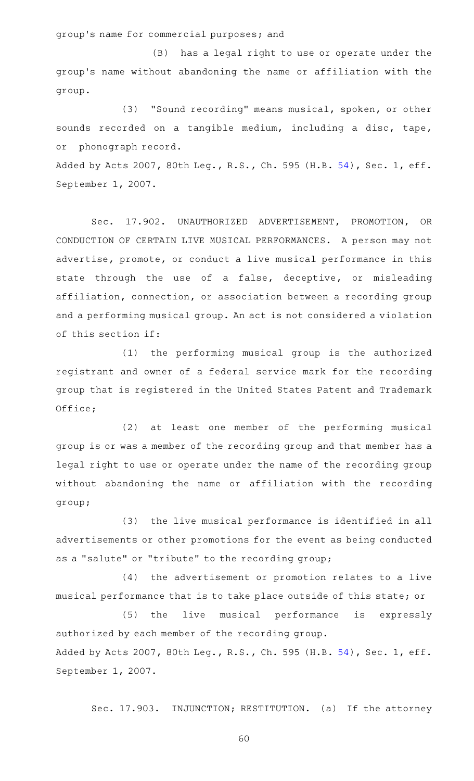group 's name for commercial purposes; and

(B) has a legal right to use or operate under the group 's name without abandoning the name or affiliation with the group.

(3) "Sound recording" means musical, spoken, or other sounds recorded on a tangible medium, including a disc, tape, or phonograph record.

Added by Acts 2007, 80th Leg., R.S., Ch. 595 (H.B. [54](http://www.legis.state.tx.us/tlodocs/80R/billtext/html/HB00054F.HTM)), Sec. 1, eff. September 1, 2007.

Sec. 17.902. UNAUTHORIZED ADVERTISEMENT, PROMOTION, OR CONDUCTION OF CERTAIN LIVE MUSICAL PERFORMANCES. A person may not advertise, promote, or conduct a live musical performance in this state through the use of a false, deceptive, or misleading affiliation, connection, or association between a recording group and a performing musical group. An act is not considered a violation of this section if:

 $(1)$  the performing musical group is the authorized registrant and owner of a federal service mark for the recording group that is registered in the United States Patent and Trademark Office;

(2) at least one member of the performing musical group is or was a member of the recording group and that member has a legal right to use or operate under the name of the recording group without abandoning the name or affiliation with the recording group;

(3) the live musical performance is identified in all advertisements or other promotions for the event as being conducted as a "salute" or "tribute" to the recording group;

(4) the advertisement or promotion relates to a live musical performance that is to take place outside of this state; or

(5) the live musical performance is expressly authorized by each member of the recording group. Added by Acts 2007, 80th Leg., R.S., Ch. 595 (H.B. [54](http://www.legis.state.tx.us/tlodocs/80R/billtext/html/HB00054F.HTM)), Sec. 1, eff. September 1, 2007.

Sec. 17.903. INJUNCTION; RESTITUTION. (a) If the attorney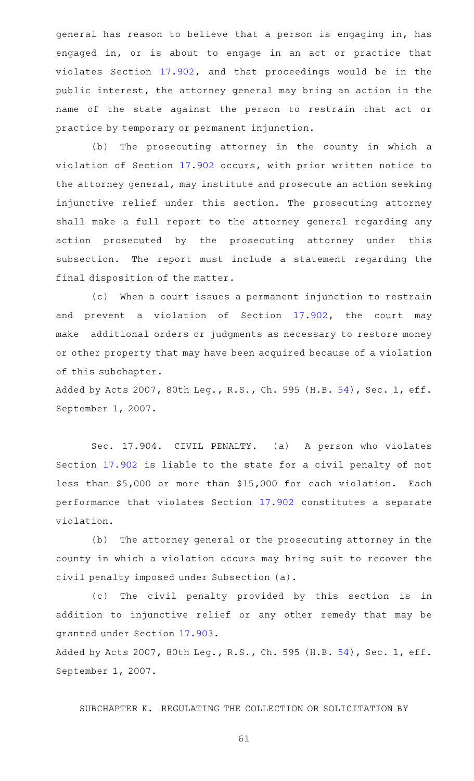general has reason to believe that a person is engaging in, has engaged in, or is about to engage in an act or practice that violates Section [17.902](http://www.statutes.legis.state.tx.us/GetStatute.aspx?Code=BC&Value=17.902), and that proceedings would be in the public interest, the attorney general may bring an action in the name of the state against the person to restrain that act or practice by temporary or permanent injunction.

(b) The prosecuting attorney in the county in which a violation of Section [17.902](http://www.statutes.legis.state.tx.us/GetStatute.aspx?Code=BC&Value=17.902) occurs, with prior written notice to the attorney general, may institute and prosecute an action seeking injunctive relief under this section. The prosecuting attorney shall make a full report to the attorney general regarding any action prosecuted by the prosecuting attorney under this subsection. The report must include a statement regarding the final disposition of the matter.

(c) When a court issues a permanent injunction to restrain and prevent a violation of Section [17.902,](http://www.statutes.legis.state.tx.us/GetStatute.aspx?Code=BC&Value=17.902) the court may make additional orders or judgments as necessary to restore money or other property that may have been acquired because of a violation of this subchapter.

Added by Acts 2007, 80th Leg., R.S., Ch. 595 (H.B. [54](http://www.legis.state.tx.us/tlodocs/80R/billtext/html/HB00054F.HTM)), Sec. 1, eff. September 1, 2007.

Sec. 17.904. CIVIL PENALTY. (a) A person who violates Section [17.902](http://www.statutes.legis.state.tx.us/GetStatute.aspx?Code=BC&Value=17.902) is liable to the state for a civil penalty of not less than \$5,000 or more than \$15,000 for each violation. Each performance that violates Section [17.902](http://www.statutes.legis.state.tx.us/GetStatute.aspx?Code=BC&Value=17.902) constitutes a separate violation.

(b) The attorney general or the prosecuting attorney in the county in which a violation occurs may bring suit to recover the civil penalty imposed under Subsection (a).

(c) The civil penalty provided by this section is in addition to injunctive relief or any other remedy that may be granted under Section [17.903.](http://www.statutes.legis.state.tx.us/GetStatute.aspx?Code=BC&Value=17.903)

Added by Acts 2007, 80th Leg., R.S., Ch. 595 (H.B. [54](http://www.legis.state.tx.us/tlodocs/80R/billtext/html/HB00054F.HTM)), Sec. 1, eff. September 1, 2007.

SUBCHAPTER K. REGULATING THE COLLECTION OR SOLICITATION BY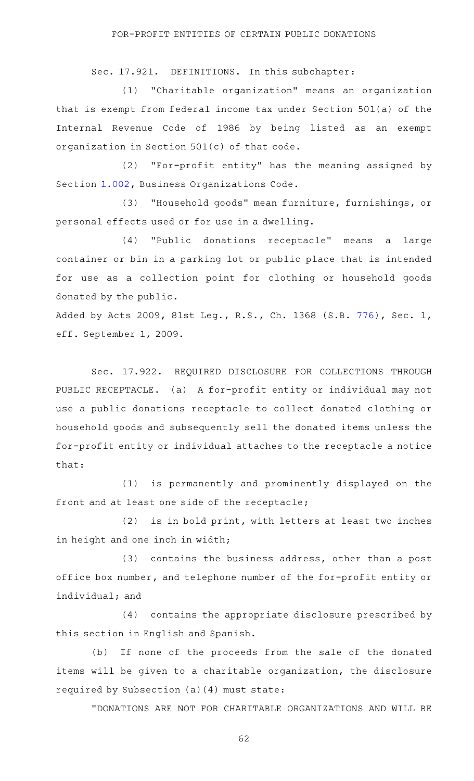Sec. 17.921. DEFINITIONS. In this subchapter:

(1) "Charitable organization" means an organization that is exempt from federal income tax under Section 501(a) of the Internal Revenue Code of 1986 by being listed as an exempt organization in Section 501(c) of that code.

(2) "For-profit entity" has the meaning assigned by Section [1.002,](http://www.statutes.legis.state.tx.us/GetStatute.aspx?Code=BO&Value=1.002) Business Organizations Code.

(3) "Household goods" mean furniture, furnishings, or personal effects used or for use in a dwelling.

(4) "Public donations receptacle" means a large container or bin in a parking lot or public place that is intended for use as a collection point for clothing or household goods donated by the public.

Added by Acts 2009, 81st Leg., R.S., Ch. 1368 (S.B. [776](http://www.legis.state.tx.us/tlodocs/81R/billtext/html/SB00776F.HTM)), Sec. 1, eff. September 1, 2009.

Sec. 17.922. REQUIRED DISCLOSURE FOR COLLECTIONS THROUGH PUBLIC RECEPTACLE. (a) A for-profit entity or individual may not use a public donations receptacle to collect donated clothing or household goods and subsequently sell the donated items unless the for-profit entity or individual attaches to the receptacle a notice that:

(1) is permanently and prominently displayed on the front and at least one side of the receptacle;

(2) is in bold print, with letters at least two inches in height and one inch in width;

 $(3)$  contains the business address, other than a post office box number, and telephone number of the for-profit entity or individual; and

(4) contains the appropriate disclosure prescribed by this section in English and Spanish.

(b) If none of the proceeds from the sale of the donated items will be given to a charitable organization, the disclosure required by Subsection (a)(4) must state:

"DONATIONS ARE NOT FOR CHARITABLE ORGANIZATIONS AND WILL BE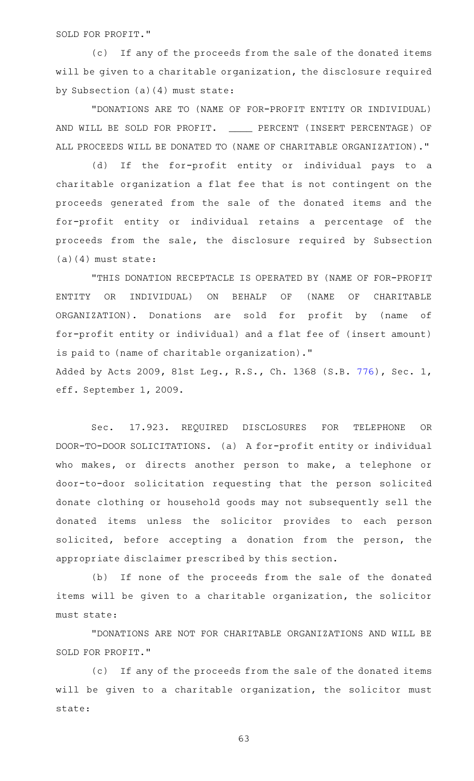SOLD FOR PROFIT."

(c) If any of the proceeds from the sale of the donated items will be given to a charitable organization, the disclosure required by Subsection (a)(4) must state:

"DONATIONS ARE TO (NAME OF FOR-PROFIT ENTITY OR INDIVIDUAL) AND WILL BE SOLD FOR PROFIT. \_\_\_\_\_ PERCENT (INSERT PERCENTAGE) OF ALL PROCEEDS WILL BE DONATED TO (NAME OF CHARITABLE ORGANIZATION)."

(d) If the for-profit entity or individual pays to a charitable organization a flat fee that is not contingent on the proceeds generated from the sale of the donated items and the for-profit entity or individual retains a percentage of the proceeds from the sale, the disclosure required by Subsection (a)(4) must state:

"THIS DONATION RECEPTACLE IS OPERATED BY (NAME OF FOR-PROFIT ENTITY OR INDIVIDUAL) ON BEHALF OF (NAME OF CHARITABLE ORGANIZATION). Donations are sold for profit by (name of for-profit entity or individual) and a flat fee of (insert amount) is paid to (name of charitable organization)." Added by Acts 2009, 81st Leg., R.S., Ch. 1368 (S.B. [776](http://www.legis.state.tx.us/tlodocs/81R/billtext/html/SB00776F.HTM)), Sec. 1, eff. September 1, 2009.

Sec. 17.923. REQUIRED DISCLOSURES FOR TELEPHONE OR DOOR-TO-DOOR SOLICITATIONS. (a) A for-profit entity or individual who makes, or directs another person to make, a telephone or door-to-door solicitation requesting that the person solicited donate clothing or household goods may not subsequently sell the donated items unless the solicitor provides to each person solicited, before accepting a donation from the person, the appropriate disclaimer prescribed by this section.

(b) If none of the proceeds from the sale of the donated items will be given to a charitable organization, the solicitor must state:

"DONATIONS ARE NOT FOR CHARITABLE ORGANIZATIONS AND WILL BE SOLD FOR PROFIT."

(c) If any of the proceeds from the sale of the donated items will be given to a charitable organization, the solicitor must state: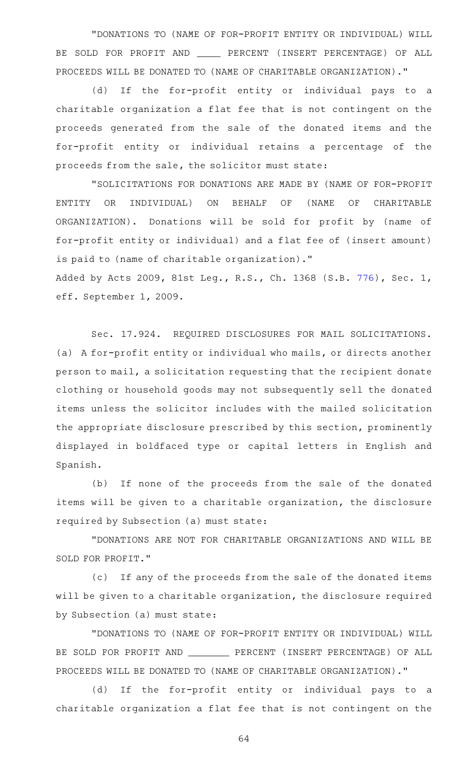"DONATIONS TO (NAME OF FOR-PROFIT ENTITY OR INDIVIDUAL) WILL BE SOLD FOR PROFIT AND \_\_\_\_\_ PERCENT (INSERT PERCENTAGE) OF ALL PROCEEDS WILL BE DONATED TO (NAME OF CHARITABLE ORGANIZATION)."

(d) If the for-profit entity or individual pays to a charitable organization a flat fee that is not contingent on the proceeds generated from the sale of the donated items and the for-profit entity or individual retains a percentage of the proceeds from the sale, the solicitor must state:

"SOLICITATIONS FOR DONATIONS ARE MADE BY (NAME OF FOR-PROFIT ENTITY OR INDIVIDUAL) ON BEHALF OF (NAME OF CHARITABLE ORGANIZATION). Donations will be sold for profit by (name of for-profit entity or individual) and a flat fee of (insert amount) is paid to (name of charitable organization)."

Added by Acts 2009, 81st Leg., R.S., Ch. 1368 (S.B. [776](http://www.legis.state.tx.us/tlodocs/81R/billtext/html/SB00776F.HTM)), Sec. 1, eff. September 1, 2009.

Sec. 17.924. REQUIRED DISCLOSURES FOR MAIL SOLICITATIONS. (a) A for-profit entity or individual who mails, or directs another person to mail, a solicitation requesting that the recipient donate clothing or household goods may not subsequently sell the donated items unless the solicitor includes with the mailed solicitation the appropriate disclosure prescribed by this section, prominently displayed in boldfaced type or capital letters in English and Spanish.

(b) If none of the proceeds from the sale of the donated items will be given to a charitable organization, the disclosure required by Subsection (a) must state:

"DONATIONS ARE NOT FOR CHARITABLE ORGANIZATIONS AND WILL BE SOLD FOR PROFIT."

(c) If any of the proceeds from the sale of the donated items will be given to a charitable organization, the disclosure required by Subsection (a) must state:

"DONATIONS TO (NAME OF FOR-PROFIT ENTITY OR INDIVIDUAL) WILL BE SOLD FOR PROFIT AND \_\_\_\_\_\_\_ PERCENT (INSERT PERCENTAGE) OF ALL PROCEEDS WILL BE DONATED TO (NAME OF CHARITABLE ORGANIZATION)."

(d) If the for-profit entity or individual pays to a charitable organization a flat fee that is not contingent on the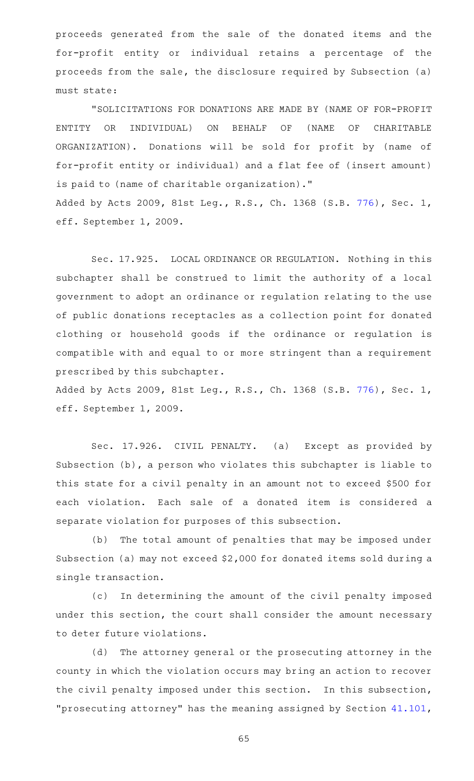proceeds generated from the sale of the donated items and the for-profit entity or individual retains a percentage of the proceeds from the sale, the disclosure required by Subsection (a) must state:

"SOLICITATIONS FOR DONATIONS ARE MADE BY (NAME OF FOR-PROFIT ENTITY OR INDIVIDUAL) ON BEHALF OF (NAME OF CHARITABLE ORGANIZATION). Donations will be sold for profit by (name of for-profit entity or individual) and a flat fee of (insert amount) is paid to (name of charitable organization)." Added by Acts 2009, 81st Leg., R.S., Ch. 1368 (S.B. [776](http://www.legis.state.tx.us/tlodocs/81R/billtext/html/SB00776F.HTM)), Sec. 1, eff. September 1, 2009.

Sec. 17.925. LOCAL ORDINANCE OR REGULATION. Nothing in this subchapter shall be construed to limit the authority of a local government to adopt an ordinance or regulation relating to the use of public donations receptacles as a collection point for donated clothing or household goods if the ordinance or regulation is compatible with and equal to or more stringent than a requirement prescribed by this subchapter.

Added by Acts 2009, 81st Leg., R.S., Ch. 1368 (S.B. [776](http://www.legis.state.tx.us/tlodocs/81R/billtext/html/SB00776F.HTM)), Sec. 1, eff. September 1, 2009.

Sec. 17.926. CIVIL PENALTY. (a) Except as provided by Subsection (b), a person who violates this subchapter is liable to this state for a civil penalty in an amount not to exceed \$500 for each violation. Each sale of a donated item is considered a separate violation for purposes of this subsection.

(b) The total amount of penalties that may be imposed under Subsection (a) may not exceed \$2,000 for donated items sold during a single transaction.

(c) In determining the amount of the civil penalty imposed under this section, the court shall consider the amount necessary to deter future violations.

(d) The attorney general or the prosecuting attorney in the county in which the violation occurs may bring an action to recover the civil penalty imposed under this section. In this subsection, "prosecuting attorney" has the meaning assigned by Section [41.101](http://www.statutes.legis.state.tx.us/GetStatute.aspx?Code=GV&Value=41.101),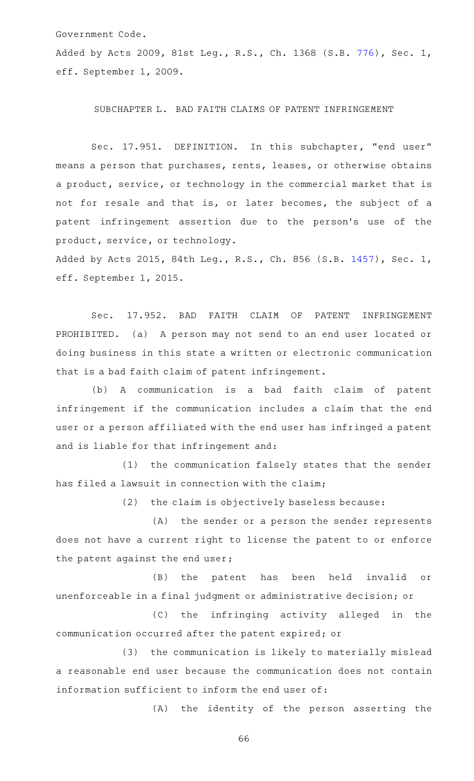#### Government Code.

Added by Acts 2009, 81st Leg., R.S., Ch. 1368 (S.B. [776](http://www.legis.state.tx.us/tlodocs/81R/billtext/html/SB00776F.HTM)), Sec. 1, eff. September 1, 2009.

SUBCHAPTER L. BAD FAITH CLAIMS OF PATENT INFRINGEMENT

Sec. 17.951. DEFINITION. In this subchapter, "end user" means a person that purchases, rents, leases, or otherwise obtains a product, service, or technology in the commercial market that is not for resale and that is, or later becomes, the subject of a patent infringement assertion due to the person's use of the product, service, or technology.

Added by Acts 2015, 84th Leg., R.S., Ch. 856 (S.B. [1457](http://www.legis.state.tx.us/tlodocs/84R/billtext/html/SB01457F.HTM)), Sec. 1, eff. September 1, 2015.

Sec. 17.952. BAD FAITH CLAIM OF PATENT INFRINGEMENT PROHIBITED. (a) A person may not send to an end user located or doing business in this state a written or electronic communication that is a bad faith claim of patent infringement.

(b) A communication is a bad faith claim of patent infringement if the communication includes a claim that the end user or a person affiliated with the end user has infringed a patent and is liable for that infringement and:

(1) the communication falsely states that the sender has filed a lawsuit in connection with the claim;

(2) the claim is objectively baseless because:

(A) the sender or a person the sender represents does not have a current right to license the patent to or enforce the patent against the end user;

(B) the patent has been held invalid or unenforceable in a final judgment or administrative decision; or

(C) the infringing activity alleged in the communication occurred after the patent expired; or

(3) the communication is likely to materially mislead a reasonable end user because the communication does not contain information sufficient to inform the end user of:

(A) the identity of the person asserting the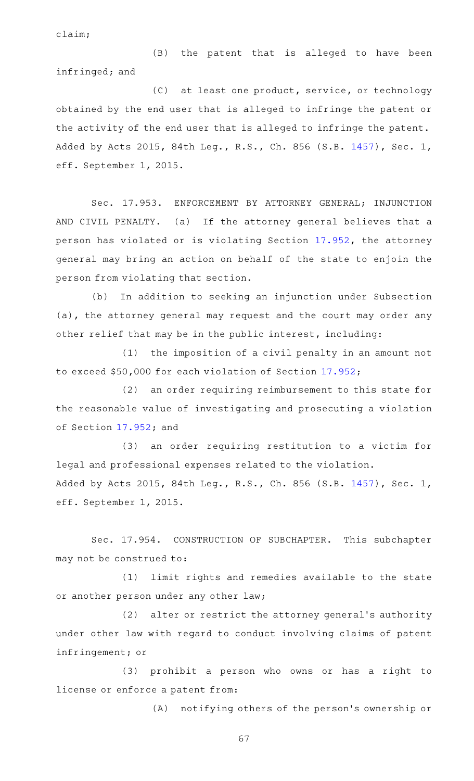claim;

(B) the patent that is alleged to have been infringed; and

(C) at least one product, service, or technology obtained by the end user that is alleged to infringe the patent or the activity of the end user that is alleged to infringe the patent. Added by Acts 2015, 84th Leg., R.S., Ch. 856 (S.B. [1457](http://www.legis.state.tx.us/tlodocs/84R/billtext/html/SB01457F.HTM)), Sec. 1, eff. September 1, 2015.

Sec. 17.953. ENFORCEMENT BY ATTORNEY GENERAL; INJUNCTION AND CIVIL PENALTY. (a) If the attorney general believes that a person has violated or is violating Section [17.952,](http://www.statutes.legis.state.tx.us/GetStatute.aspx?Code=BC&Value=17.952) the attorney general may bring an action on behalf of the state to enjoin the person from violating that section.

(b) In addition to seeking an injunction under Subsection (a), the attorney general may request and the court may order any other relief that may be in the public interest, including:

 $(1)$  the imposition of a civil penalty in an amount not to exceed \$50,000 for each violation of Section [17.952](http://www.statutes.legis.state.tx.us/GetStatute.aspx?Code=BC&Value=17.952);

 $(2)$  an order requiring reimbursement to this state for the reasonable value of investigating and prosecuting a violation of Section [17.952](http://www.statutes.legis.state.tx.us/GetStatute.aspx?Code=BC&Value=17.952); and

(3) an order requiring restitution to a victim for legal and professional expenses related to the violation. Added by Acts 2015, 84th Leg., R.S., Ch. 856 (S.B. [1457](http://www.legis.state.tx.us/tlodocs/84R/billtext/html/SB01457F.HTM)), Sec. 1, eff. September 1, 2015.

Sec. 17.954. CONSTRUCTION OF SUBCHAPTER. This subchapter may not be construed to:

(1) limit rights and remedies available to the state or another person under any other law;

(2) alter or restrict the attorney general's authority under other law with regard to conduct involving claims of patent infringement; or

(3) prohibit a person who owns or has a right to license or enforce a patent from:

(A) notifying others of the person's ownership or